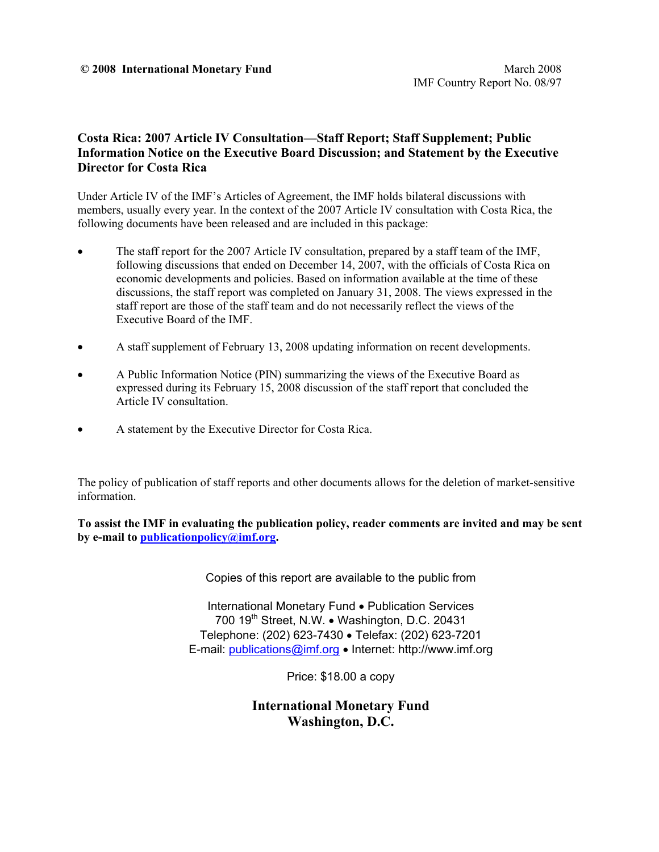### **Costa Rica: 2007 Article IV Consultation—Staff Report; Staff Supplement; Public Information Notice on the Executive Board Discussion; and Statement by the Executive Director for Costa Rica**

Under Article IV of the IMF's Articles of Agreement, the IMF holds bilateral discussions with members, usually every year. In the context of the 2007 Article IV consultation with Costa Rica, the following documents have been released and are included in this package:

- The staff report for the 2007 Article IV consultation, prepared by a staff team of the IMF, following discussions that ended on December 14, 2007, with the officials of Costa Rica on economic developments and policies. Based on information available at the time of these discussions, the staff report was completed on January 31, 2008. The views expressed in the staff report are those of the staff team and do not necessarily reflect the views of the Executive Board of the IMF.
- A staff supplement of February 13, 2008 updating information on recent developments.
- A Public Information Notice (PIN) summarizing the views of the Executive Board as expressed during its February 15, 2008 discussion of the staff report that concluded the Article IV consultation.
- A statement by the Executive Director for Costa Rica.

The policy of publication of staff reports and other documents allows for the deletion of market-sensitive information.

**To assist the IMF in evaluating the publication policy, reader comments are invited and may be sent by e-mail to publicationpolicy@imf.org.**

Copies of this report are available to the public from

International Monetary Fund • Publication Services 700 19<sup>th</sup> Street, N.W. • Washington, D.C. 20431 Telephone: (202) 623-7430 • Telefax: (202) 623-7201 E-mail: publications@imf.org • Internet: http://www.imf.org

Price: \$18.00 a copy

**International Monetary Fund Washington, D.C.**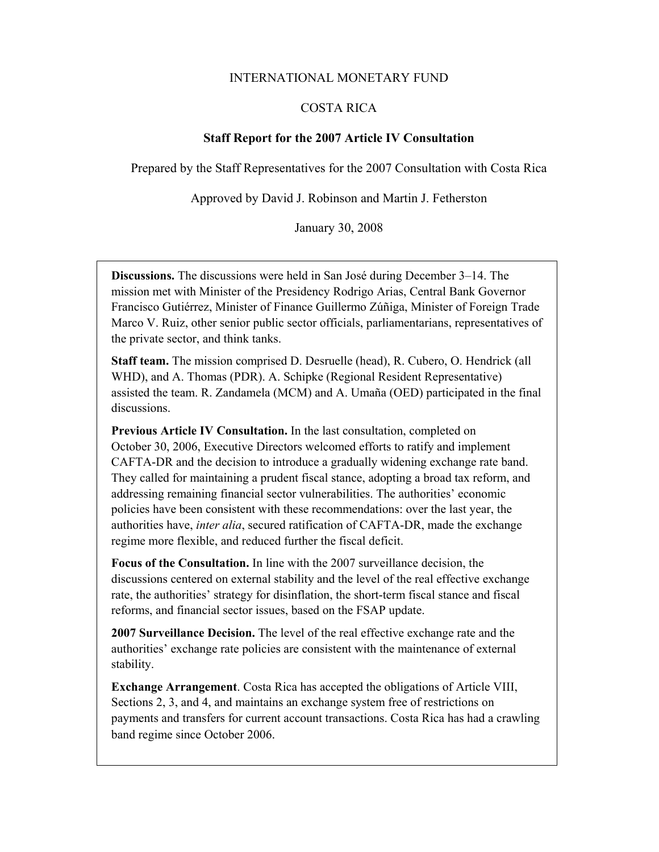#### INTERNATIONAL MONETARY FUND

### COSTA RICA

#### **Staff Report for the 2007 Article IV Consultation**

Prepared by the Staff Representatives for the 2007 Consultation with Costa Rica

Approved by David J. Robinson and Martin J. Fetherston

January 30, 2008

**Discussions.** The discussions were held in San José during December 3–14. The mission met with Minister of the Presidency Rodrigo Arias, Central Bank Governor Francisco Gutiérrez, Minister of Finance Guillermo Zúñiga, Minister of Foreign Trade Marco V. Ruiz, other senior public sector officials, parliamentarians, representatives of the private sector, and think tanks.

**Staff team.** The mission comprised D. Desruelle (head), R. Cubero, O. Hendrick (all WHD), and A. Thomas (PDR). A. Schipke (Regional Resident Representative) assisted the team. R. Zandamela (MCM) and A. Umaña (OED) participated in the final discussions.

**Previous Article IV Consultation.** In the last consultation, completed on October 30, 2006, Executive Directors welcomed efforts to ratify and implement CAFTA-DR and the decision to introduce a gradually widening exchange rate band. They called for maintaining a prudent fiscal stance, adopting a broad tax reform, and addressing remaining financial sector vulnerabilities. The authorities' economic policies have been consistent with these recommendations: over the last year, the authorities have, *inter alia*, secured ratification of CAFTA-DR, made the exchange regime more flexible, and reduced further the fiscal deficit.

**Focus of the Consultation.** In line with the 2007 surveillance decision, the discussions centered on external stability and the level of the real effective exchange rate, the authorities' strategy for disinflation, the short-term fiscal stance and fiscal reforms, and financial sector issues, based on the FSAP update.

**2007 Surveillance Decision.** The level of the real effective exchange rate and the authorities' exchange rate policies are consistent with the maintenance of external stability.

**Exchange Arrangement**. Costa Rica has accepted the obligations of Article VIII, Sections 2, 3, and 4, and maintains an exchange system free of restrictions on payments and transfers for current account transactions. Costa Rica has had a crawling band regime since October 2006.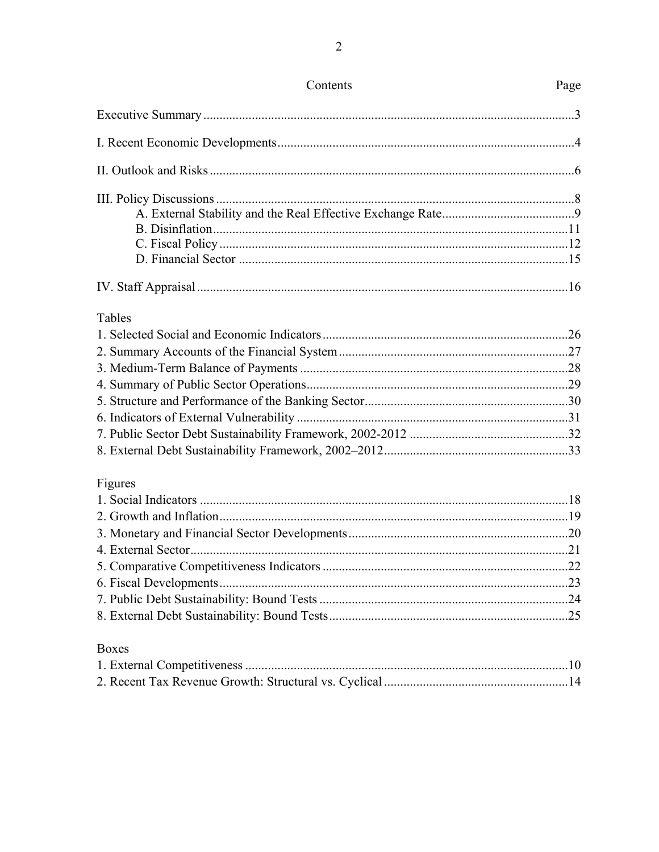| Contents     | Page |
|--------------|------|
|              |      |
|              |      |
|              |      |
|              |      |
|              |      |
|              |      |
|              |      |
|              |      |
|              |      |
| Tables       |      |
|              |      |
|              |      |
|              |      |
|              |      |
|              |      |
|              |      |
|              |      |
|              |      |
| Figures      |      |
|              |      |
|              |      |
|              |      |
|              |      |
|              |      |
|              |      |
|              |      |
|              |      |
| <b>Boxes</b> |      |
|              |      |
|              |      |
|              |      |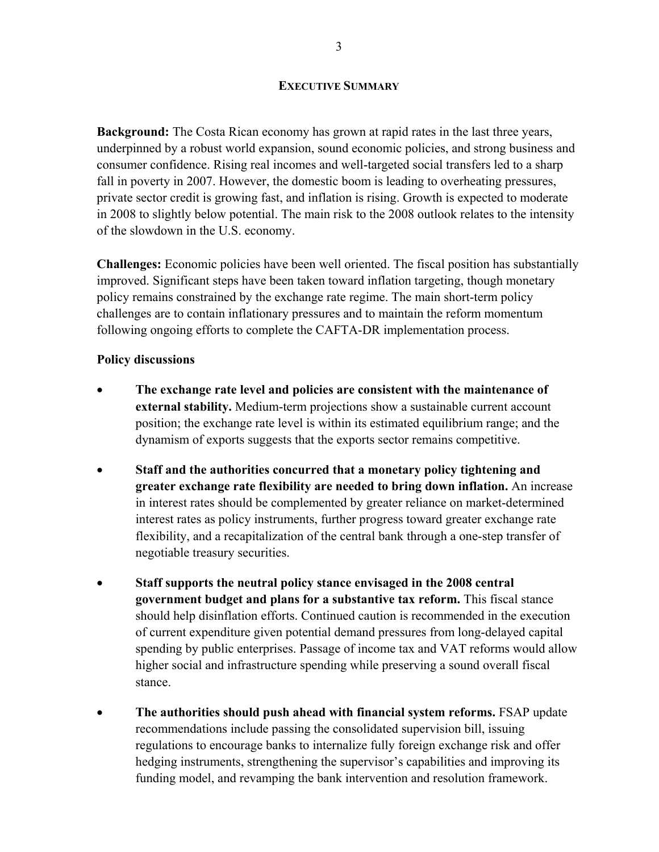#### **EXECUTIVE SUMMARY**

**Background:** The Costa Rican economy has grown at rapid rates in the last three years, underpinned by a robust world expansion, sound economic policies, and strong business and consumer confidence. Rising real incomes and well-targeted social transfers led to a sharp fall in poverty in 2007. However, the domestic boom is leading to overheating pressures, private sector credit is growing fast, and inflation is rising. Growth is expected to moderate in 2008 to slightly below potential. The main risk to the 2008 outlook relates to the intensity of the slowdown in the U.S. economy.

**Challenges:** Economic policies have been well oriented. The fiscal position has substantially improved. Significant steps have been taken toward inflation targeting, though monetary policy remains constrained by the exchange rate regime. The main short-term policy challenges are to contain inflationary pressures and to maintain the reform momentum following ongoing efforts to complete the CAFTA-DR implementation process.

### **Policy discussions**

- **The exchange rate level and policies are consistent with the maintenance of external stability.** Medium-term projections show a sustainable current account position; the exchange rate level is within its estimated equilibrium range; and the dynamism of exports suggests that the exports sector remains competitive.
- **Staff and the authorities concurred that a monetary policy tightening and greater exchange rate flexibility are needed to bring down inflation.** An increase in interest rates should be complemented by greater reliance on market-determined interest rates as policy instruments, further progress toward greater exchange rate flexibility, and a recapitalization of the central bank through a one-step transfer of negotiable treasury securities.
- **Staff supports the neutral policy stance envisaged in the 2008 central government budget and plans for a substantive tax reform.** This fiscal stance should help disinflation efforts. Continued caution is recommended in the execution of current expenditure given potential demand pressures from long-delayed capital spending by public enterprises. Passage of income tax and VAT reforms would allow higher social and infrastructure spending while preserving a sound overall fiscal stance.
- **The authorities should push ahead with financial system reforms.** FSAP update recommendations include passing the consolidated supervision bill, issuing regulations to encourage banks to internalize fully foreign exchange risk and offer hedging instruments, strengthening the supervisor's capabilities and improving its funding model, and revamping the bank intervention and resolution framework.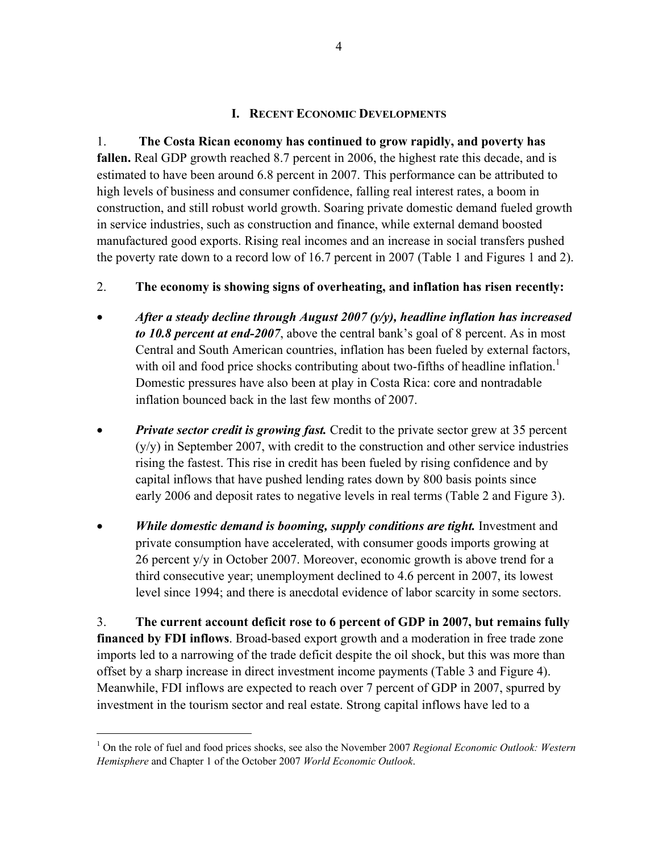### **I. RECENT ECONOMIC DEVELOPMENTS**

1. **The Costa Rican economy has continued to grow rapidly, and poverty has fallen.** Real GDP growth reached 8.7 percent in 2006, the highest rate this decade, and is estimated to have been around 6.8 percent in 2007. This performance can be attributed to high levels of business and consumer confidence, falling real interest rates, a boom in construction, and still robust world growth. Soaring private domestic demand fueled growth in service industries, such as construction and finance, while external demand boosted manufactured good exports. Rising real incomes and an increase in social transfers pushed the poverty rate down to a record low of 16.7 percent in 2007 (Table 1 and Figures 1 and 2).

# 2. **The economy is showing signs of overheating, and inflation has risen recently:**

- *After a steady decline through August 2007 (y/y), headline inflation has increased to 10.8 percent at end-2007*, above the central bank's goal of 8 percent. As in most Central and South American countries, inflation has been fueled by external factors, with oil and food price shocks contributing about two-fifths of headline inflation.<sup>1</sup> Domestic pressures have also been at play in Costa Rica: core and nontradable inflation bounced back in the last few months of 2007.
- *Private sector credit is growing fast.* Credit to the private sector grew at 35 percent (y/y) in September 2007, with credit to the construction and other service industries rising the fastest. This rise in credit has been fueled by rising confidence and by capital inflows that have pushed lending rates down by 800 basis points since early 2006 and deposit rates to negative levels in real terms (Table 2 and Figure 3).
- *While domestic demand is booming, supply conditions are tight.* Investment and private consumption have accelerated, with consumer goods imports growing at 26 percent y/y in October 2007. Moreover, economic growth is above trend for a third consecutive year; unemployment declined to 4.6 percent in 2007, its lowest level since 1994; and there is anecdotal evidence of labor scarcity in some sectors.

3. **The current account deficit rose to 6 percent of GDP in 2007, but remains fully financed by FDI inflows**. Broad-based export growth and a moderation in free trade zone imports led to a narrowing of the trade deficit despite the oil shock, but this was more than offset by a sharp increase in direct investment income payments (Table 3 and Figure 4). Meanwhile, FDI inflows are expected to reach over 7 percent of GDP in 2007, spurred by investment in the tourism sector and real estate. Strong capital inflows have led to a

<u>.</u>

<sup>&</sup>lt;sup>1</sup> On the role of fuel and food prices shocks, see also the November 2007 *Regional Economic Outlook: Western Hemisphere* and Chapter 1 of the October 2007 *World Economic Outlook*.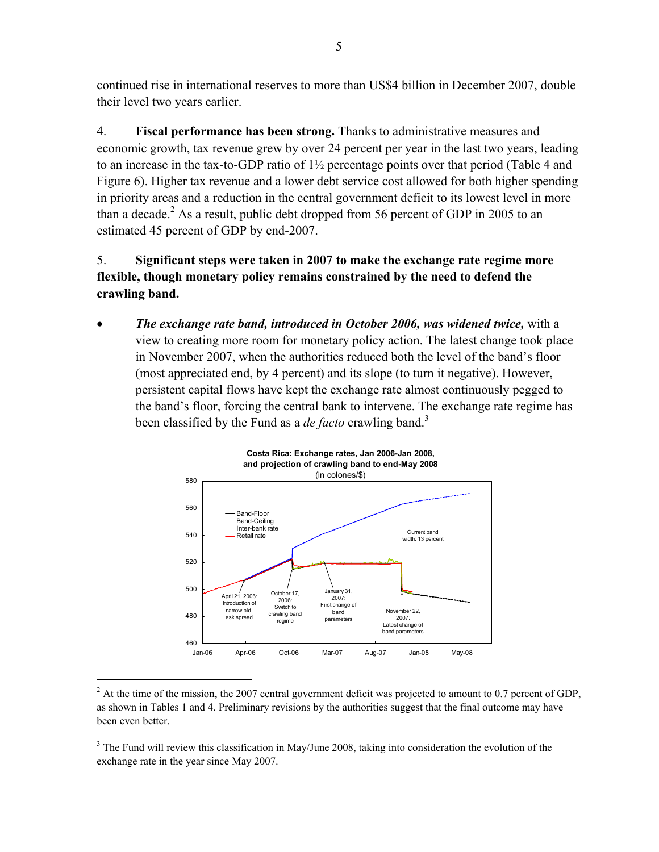continued rise in international reserves to more than US\$4 billion in December 2007, double their level two years earlier.

4. **Fiscal performance has been strong.** Thanks to administrative measures and economic growth, tax revenue grew by over 24 percent per year in the last two years, leading to an increase in the tax-to-GDP ratio of 1½ percentage points over that period (Table 4 and Figure 6). Higher tax revenue and a lower debt service cost allowed for both higher spending in priority areas and a reduction in the central government deficit to its lowest level in more than a decade.<sup>2</sup> As a result, public debt dropped from 56 percent of GDP in 2005 to an estimated 45 percent of GDP by end-2007.

5. **Significant steps were taken in 2007 to make the exchange rate regime more flexible, though monetary policy remains constrained by the need to defend the crawling band.** 

• *The exchange rate band, introduced in October 2006, was widened twice,* with a view to creating more room for monetary policy action. The latest change took place in November 2007, when the authorities reduced both the level of the band's floor (most appreciated end, by 4 percent) and its slope (to turn it negative). However, persistent capital flows have kept the exchange rate almost continuously pegged to the band's floor, forcing the central bank to intervene. The exchange rate regime has been classified by the Fund as a *de facto* crawling band.<sup>3</sup>



 $2<sup>2</sup>$  At the time of the mission, the 2007 central government deficit was projected to amount to 0.7 percent of GDP, as shown in Tables 1 and 4. Preliminary revisions by the authorities suggest that the final outcome may have been even better.

 $\overline{a}$ 

 $3$  The Fund will review this classification in May/June 2008, taking into consideration the evolution of the exchange rate in the year since May 2007.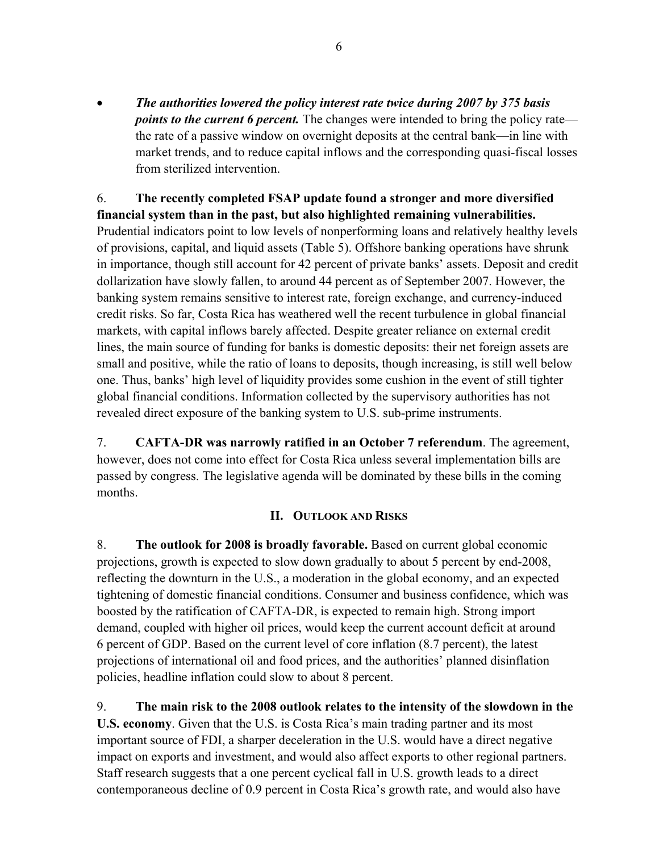• *The authorities lowered the policy interest rate twice during 2007 by 375 basis points to the current 6 percent.* The changes were intended to bring the policy rate the rate of a passive window on overnight deposits at the central bank—in line with market trends, and to reduce capital inflows and the corresponding quasi-fiscal losses from sterilized intervention.

6. **The recently completed FSAP update found a stronger and more diversified financial system than in the past, but also highlighted remaining vulnerabilities.**  Prudential indicators point to low levels of nonperforming loans and relatively healthy levels of provisions, capital, and liquid assets (Table 5). Offshore banking operations have shrunk in importance, though still account for 42 percent of private banks' assets. Deposit and credit dollarization have slowly fallen, to around 44 percent as of September 2007. However, the banking system remains sensitive to interest rate, foreign exchange, and currency-induced credit risks. So far, Costa Rica has weathered well the recent turbulence in global financial markets, with capital inflows barely affected. Despite greater reliance on external credit lines, the main source of funding for banks is domestic deposits: their net foreign assets are small and positive, while the ratio of loans to deposits, though increasing, is still well below one. Thus, banks' high level of liquidity provides some cushion in the event of still tighter global financial conditions. Information collected by the supervisory authorities has not revealed direct exposure of the banking system to U.S. sub-prime instruments.

7. **CAFTA-DR was narrowly ratified in an October 7 referendum**. The agreement, however, does not come into effect for Costa Rica unless several implementation bills are passed by congress. The legislative agenda will be dominated by these bills in the coming months.

# **II. OUTLOOK AND RISKS**

8. **The outlook for 2008 is broadly favorable.** Based on current global economic projections, growth is expected to slow down gradually to about 5 percent by end-2008, reflecting the downturn in the U.S., a moderation in the global economy, and an expected tightening of domestic financial conditions. Consumer and business confidence, which was boosted by the ratification of CAFTA-DR, is expected to remain high. Strong import demand, coupled with higher oil prices, would keep the current account deficit at around 6 percent of GDP. Based on the current level of core inflation (8.7 percent), the latest projections of international oil and food prices, and the authorities' planned disinflation policies, headline inflation could slow to about 8 percent.

9. **The main risk to the 2008 outlook relates to the intensity of the slowdown in the U.S. economy**. Given that the U.S. is Costa Rica's main trading partner and its most important source of FDI, a sharper deceleration in the U.S. would have a direct negative impact on exports and investment, and would also affect exports to other regional partners. Staff research suggests that a one percent cyclical fall in U.S. growth leads to a direct contemporaneous decline of 0.9 percent in Costa Rica's growth rate, and would also have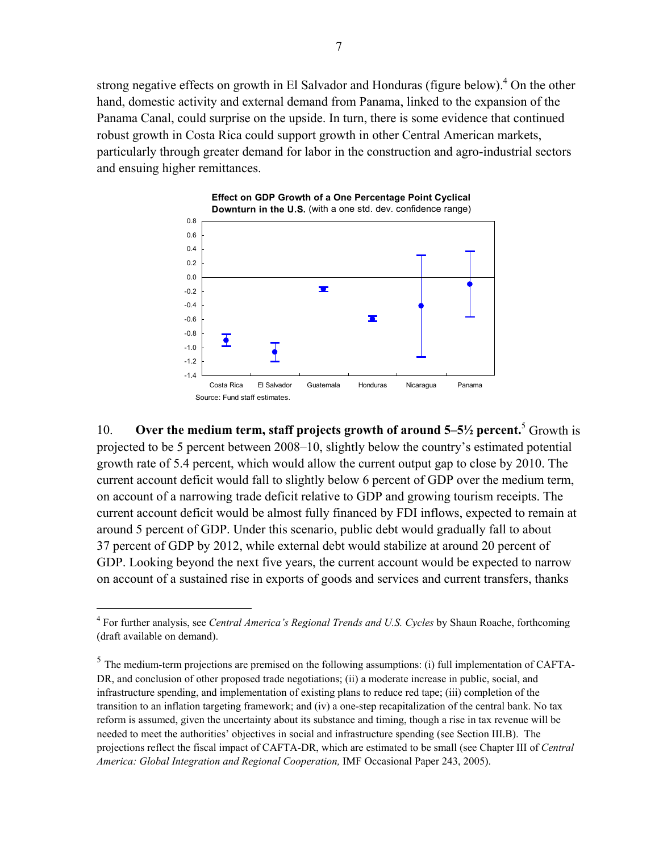strong negative effects on growth in El Salvador and Honduras (figure below). $4$  On the other hand, domestic activity and external demand from Panama, linked to the expansion of the Panama Canal, could surprise on the upside. In turn, there is some evidence that continued robust growth in Costa Rica could support growth in other Central American markets, particularly through greater demand for labor in the construction and agro-industrial sectors and ensuing higher remittances.



10. **Over the medium term, staff projects growth of around 5–5½ percent.**<sup>5</sup> Growth is projected to be 5 percent between 2008–10, slightly below the country's estimated potential growth rate of 5.4 percent, which would allow the current output gap to close by 2010. The current account deficit would fall to slightly below 6 percent of GDP over the medium term, on account of a narrowing trade deficit relative to GDP and growing tourism receipts. The current account deficit would be almost fully financed by FDI inflows, expected to remain at around 5 percent of GDP. Under this scenario, public debt would gradually fall to about 37 percent of GDP by 2012, while external debt would stabilize at around 20 percent of GDP. Looking beyond the next five years, the current account would be expected to narrow on account of a sustained rise in exports of goods and services and current transfers, thanks

 $\overline{a}$ 

<sup>&</sup>lt;sup>4</sup> For further analysis, see *Central America's Regional Trends and U.S. Cycles* by Shaun Roache, forthcoming (draft available on demand).

 $<sup>5</sup>$  The medium-term projections are premised on the following assumptions: (i) full implementation of CAFTA-</sup> DR, and conclusion of other proposed trade negotiations; (ii) a moderate increase in public, social, and infrastructure spending, and implementation of existing plans to reduce red tape; (iii) completion of the transition to an inflation targeting framework; and (iv) a one-step recapitalization of the central bank. No tax reform is assumed, given the uncertainty about its substance and timing, though a rise in tax revenue will be needed to meet the authorities' objectives in social and infrastructure spending (see Section III.B). The projections reflect the fiscal impact of CAFTA-DR, which are estimated to be small (see Chapter III of *Central America: Global Integration and Regional Cooperation,* IMF Occasional Paper 243, 2005).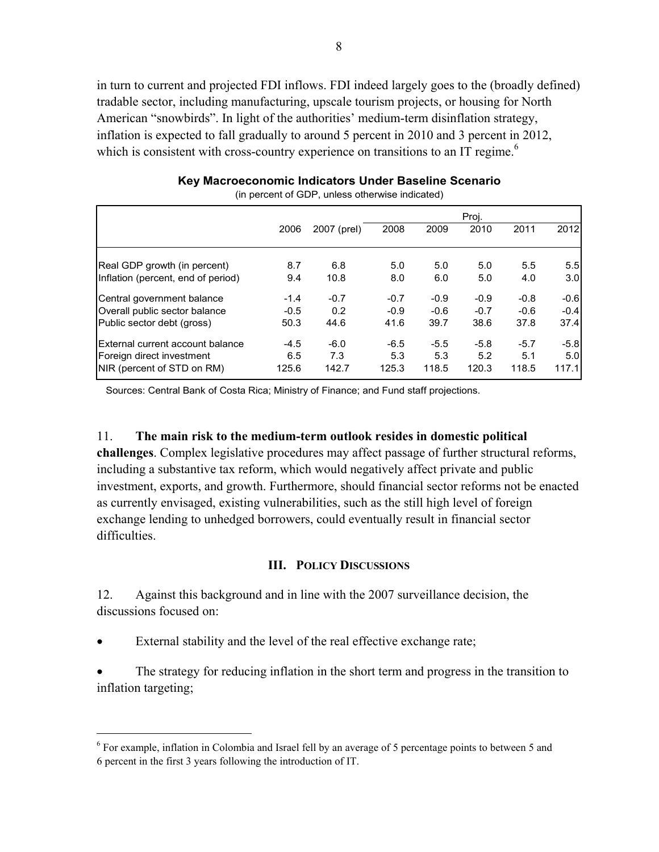in turn to current and projected FDI inflows. FDI indeed largely goes to the (broadly defined) tradable sector, including manufacturing, upscale tourism projects, or housing for North American "snowbirds". In light of the authorities' medium-term disinflation strategy, inflation is expected to fall gradually to around 5 percent in 2010 and 3 percent in 2012, which is consistent with cross-country experience on transitions to an IT regime.<sup>6</sup>

|                                                               |               |               |               |               | Proj.         |               |               |
|---------------------------------------------------------------|---------------|---------------|---------------|---------------|---------------|---------------|---------------|
|                                                               | 2006          | 2007 (prel)   | 2008          | 2009          | 2010          | 2011          | 2012          |
| Real GDP growth (in percent)                                  | 8.7           | 6.8           | 5.0           | 5.0           | 5.0           | 5.5           | 5.5           |
| Inflation (percent, end of period)                            | 9.4           | 10.8          | 8.0           | 6.0           | 5.0           | 4.0           | 3.0           |
| Central government balance                                    | $-1.4$        | $-0.7$        | $-0.7$        | $-0.9$        | $-0.9$        | $-0.8$        | $-0.6$        |
| Overall public sector balance                                 | $-0.5$        | 0.2           | $-0.9$        | $-0.6$        | $-0.7$        | $-0.6$        | $-0.4$        |
| Public sector debt (gross)                                    | 50.3          | 44.6          | 41.6          | 39.7          | 38.6          | 37.8          | 37.4          |
| External current account balance<br>Foreign direct investment | $-4.5$<br>6.5 | $-6.0$<br>7.3 | $-6.5$<br>5.3 | $-5.5$<br>5.3 | $-5.8$<br>5.2 | $-5.7$<br>5.1 | $-5.8$<br>5.0 |
| NIR (percent of STD on RM)                                    | 125.6         | 142.7         | 125.3         | 118.5         | 120.3         | 118.5         | 117.1         |

**Key Macroeconomic Indicators Under Baseline Scenario** (in percent of GDP, unless otherwise indicated)

Sources: Central Bank of Costa Rica; Ministry of Finance; and Fund staff projections.

# 11. **The main risk to the medium-term outlook resides in domestic political**

**challenges**. Complex legislative procedures may affect passage of further structural reforms, including a substantive tax reform, which would negatively affect private and public investment, exports, and growth. Furthermore, should financial sector reforms not be enacted as currently envisaged, existing vulnerabilities, such as the still high level of foreign exchange lending to unhedged borrowers, could eventually result in financial sector difficulties.

### **III. POLICY DISCUSSIONS**

12. Against this background and in line with the 2007 surveillance decision, the discussions focused on:

External stability and the level of the real effective exchange rate;

<u>.</u>

The strategy for reducing inflation in the short term and progress in the transition to inflation targeting;

<sup>&</sup>lt;sup>6</sup> For example, inflation in Colombia and Israel fell by an average of 5 percentage points to between 5 and 6 percent in the first 3 years following the introduction of IT.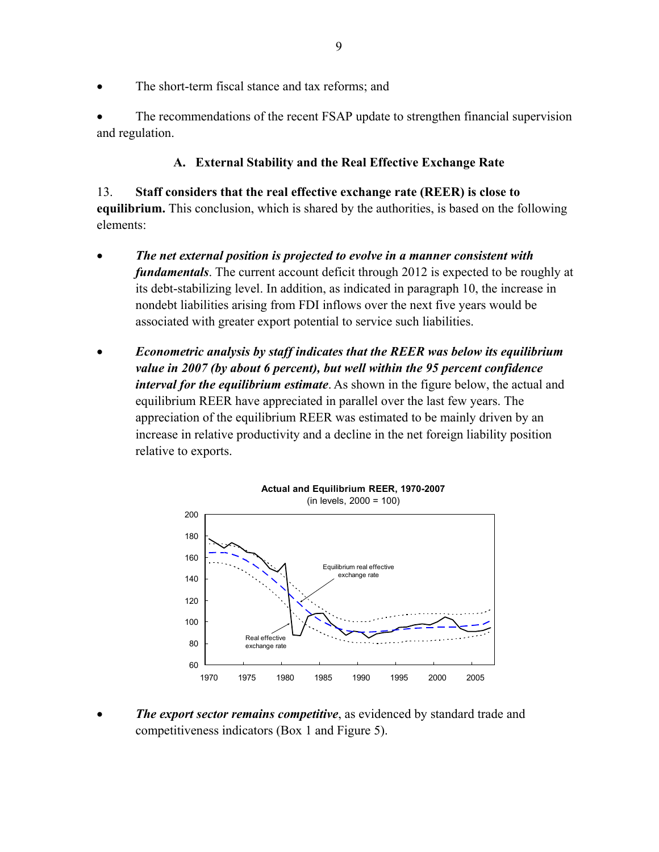The short-term fiscal stance and tax reforms; and

The recommendations of the recent FSAP update to strengthen financial supervision and regulation.

# **A. External Stability and the Real Effective Exchange Rate**

13. **Staff considers that the real effective exchange rate (REER) is close to equilibrium.** This conclusion, which is shared by the authorities, is based on the following elements:

- *The net external position is projected to evolve in a manner consistent with fundamentals*. The current account deficit through 2012 is expected to be roughly at its debt-stabilizing level. In addition, as indicated in paragraph 10, the increase in nondebt liabilities arising from FDI inflows over the next five years would be associated with greater export potential to service such liabilities.
- *Econometric analysis by staff indicates that the REER was below its equilibrium value in 2007 (by about 6 percent), but well within the 95 percent confidence interval for the equilibrium estimate*. As shown in the figure below, the actual and equilibrium REER have appreciated in parallel over the last few years. The appreciation of the equilibrium REER was estimated to be mainly driven by an increase in relative productivity and a decline in the net foreign liability position relative to exports.



*The export sector remains competitive*, as evidenced by standard trade and competitiveness indicators (Box 1 and Figure 5).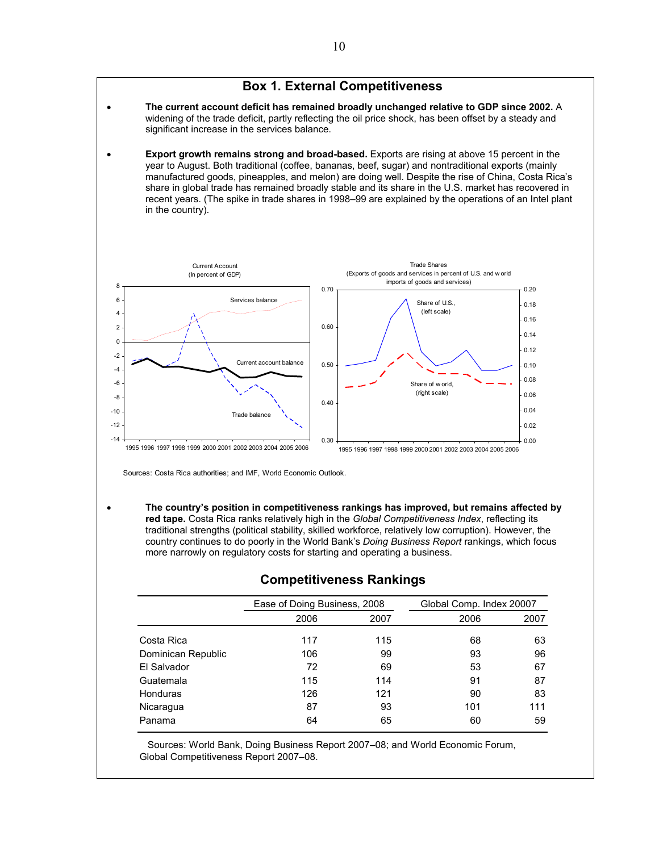#### **Box 1. External Competitiveness**

- **The current account deficit has remained broadly unchanged relative to GDP since 2002.** A widening of the trade deficit, partly reflecting the oil price shock, has been offset by a steady and significant increase in the services balance.
- **Export growth remains strong and broad-based.** Exports are rising at above 15 percent in the year to August. Both traditional (coffee, bananas, beef, sugar) and nontraditional exports (mainly manufactured goods, pineapples, and melon) are doing well. Despite the rise of China, Costa Rica's share in global trade has remained broadly stable and its share in the U.S. market has recovered in recent years. (The spike in trade shares in 1998–99 are explained by the operations of an Intel plant in the country).



Sources: Costa Rica authorities; and IMF, World Economic Outlook.

• **The country's position in competitiveness rankings has improved, but remains affected by red tape.** Costa Rica ranks relatively high in the *Global Competitiveness Index*, reflecting its traditional strengths (political stability, skilled workforce, relatively low corruption). However, the country continues to do poorly in the World Bank's *Doing Business Report* rankings, which focus more narrowly on regulatory costs for starting and operating a business.

|                    | Ease of Doing Business, 2008 |      | Global Comp. Index 20007 |      |  |
|--------------------|------------------------------|------|--------------------------|------|--|
|                    | 2006                         | 2007 | 2006                     | 2007 |  |
| Costa Rica         | 117                          | 115  | 68                       | 63   |  |
| Dominican Republic | 106                          | 99   | 93                       | 96   |  |
| El Salvador        | 72                           | 69   | 53                       | 67   |  |
| Guatemala          | 115                          | 114  | 91                       | 87   |  |
| <b>Honduras</b>    | 126                          | 121  | 90                       | 83   |  |
| Nicaragua          | 87                           | 93   | 101                      | 111  |  |
| Panama             | 64                           | 65   | 60                       | 59   |  |

#### **Competitiveness Rankings**

 Sources: World Bank, Doing Business Report 2007–08; and World Economic Forum, Global Competitiveness Report 2007–08.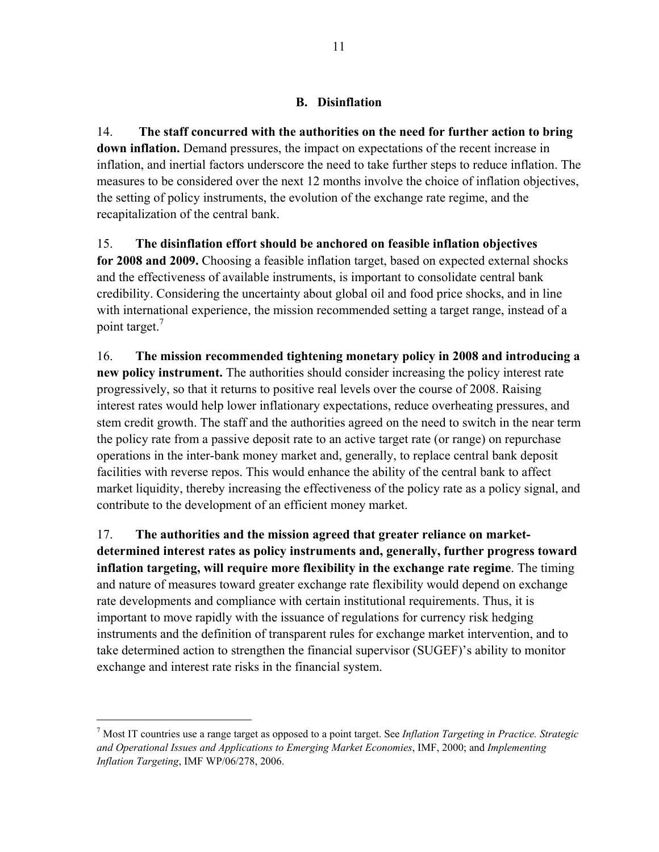# **B. Disinflation**

14. **The staff concurred with the authorities on the need for further action to bring down inflation.** Demand pressures, the impact on expectations of the recent increase in inflation, and inertial factors underscore the need to take further steps to reduce inflation. The measures to be considered over the next 12 months involve the choice of inflation objectives, the setting of policy instruments, the evolution of the exchange rate regime, and the recapitalization of the central bank.

15. **The disinflation effort should be anchored on feasible inflation objectives for 2008 and 2009.** Choosing a feasible inflation target, based on expected external shocks and the effectiveness of available instruments, is important to consolidate central bank credibility. Considering the uncertainty about global oil and food price shocks, and in line with international experience, the mission recommended setting a target range, instead of a point target.<sup>7</sup>

16. **The mission recommended tightening monetary policy in 2008 and introducing a new policy instrument.** The authorities should consider increasing the policy interest rate progressively, so that it returns to positive real levels over the course of 2008. Raising interest rates would help lower inflationary expectations, reduce overheating pressures, and stem credit growth. The staff and the authorities agreed on the need to switch in the near term the policy rate from a passive deposit rate to an active target rate (or range) on repurchase operations in the inter-bank money market and, generally, to replace central bank deposit facilities with reverse repos. This would enhance the ability of the central bank to affect market liquidity, thereby increasing the effectiveness of the policy rate as a policy signal, and contribute to the development of an efficient money market.

17. **The authorities and the mission agreed that greater reliance on marketdetermined interest rates as policy instruments and, generally, further progress toward inflation targeting, will require more flexibility in the exchange rate regime**. The timing and nature of measures toward greater exchange rate flexibility would depend on exchange rate developments and compliance with certain institutional requirements. Thus, it is important to move rapidly with the issuance of regulations for currency risk hedging instruments and the definition of transparent rules for exchange market intervention, and to take determined action to strengthen the financial supervisor (SUGEF)'s ability to monitor exchange and interest rate risks in the financial system.

 $\overline{a}$ 

<sup>7</sup> Most IT countries use a range target as opposed to a point target. See *Inflation Targeting in Practice. Strategic and Operational Issues and Applications to Emerging Market Economies*, IMF, 2000; and *Implementing Inflation Targeting*, IMF WP/06/278, 2006.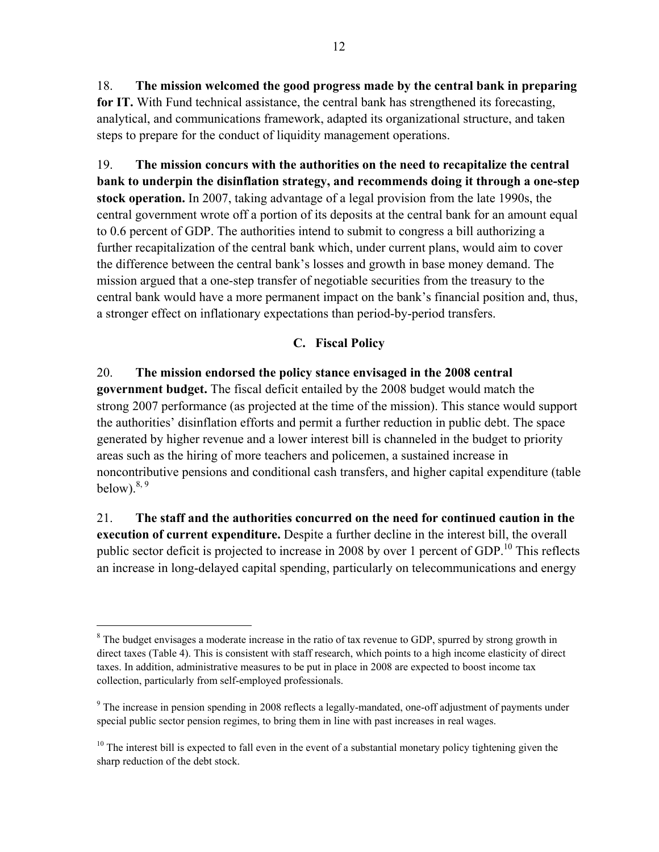18. **The mission welcomed the good progress made by the central bank in preparing for IT.** With Fund technical assistance, the central bank has strengthened its forecasting, analytical, and communications framework, adapted its organizational structure, and taken steps to prepare for the conduct of liquidity management operations.

19. **The mission concurs with the authorities on the need to recapitalize the central bank to underpin the disinflation strategy, and recommends doing it through a one-step stock operation.** In 2007, taking advantage of a legal provision from the late 1990s, the central government wrote off a portion of its deposits at the central bank for an amount equal to 0.6 percent of GDP. The authorities intend to submit to congress a bill authorizing a further recapitalization of the central bank which, under current plans, would aim to cover the difference between the central bank's losses and growth in base money demand. The mission argued that a one-step transfer of negotiable securities from the treasury to the central bank would have a more permanent impact on the bank's financial position and, thus, a stronger effect on inflationary expectations than period-by-period transfers.

# **C. Fiscal Policy**

20. **The mission endorsed the policy stance envisaged in the 2008 central government budget.** The fiscal deficit entailed by the 2008 budget would match the strong 2007 performance (as projected at the time of the mission). This stance would support the authorities' disinflation efforts and permit a further reduction in public debt. The space generated by higher revenue and a lower interest bill is channeled in the budget to priority areas such as the hiring of more teachers and policemen, a sustained increase in noncontributive pensions and conditional cash transfers, and higher capital expenditure (table below). $8, 9$ 

21. **The staff and the authorities concurred on the need for continued caution in the execution of current expenditure.** Despite a further decline in the interest bill, the overall public sector deficit is projected to increase in 2008 by over 1 percent of GDP.<sup>10</sup> This reflects an increase in long-delayed capital spending, particularly on telecommunications and energy

 $\overline{a}$ 

<sup>&</sup>lt;sup>8</sup> The budget envisages a moderate increase in the ratio of tax revenue to GDP, spurred by strong growth in direct taxes (Table 4). This is consistent with staff research, which points to a high income elasticity of direct taxes. In addition, administrative measures to be put in place in 2008 are expected to boost income tax collection, particularly from self-employed professionals.

<sup>&</sup>lt;sup>9</sup> The increase in pension spending in 2008 reflects a legally-mandated, one-off adjustment of payments under special public sector pension regimes, to bring them in line with past increases in real wages.

 $10$  The interest bill is expected to fall even in the event of a substantial monetary policy tightening given the sharp reduction of the debt stock.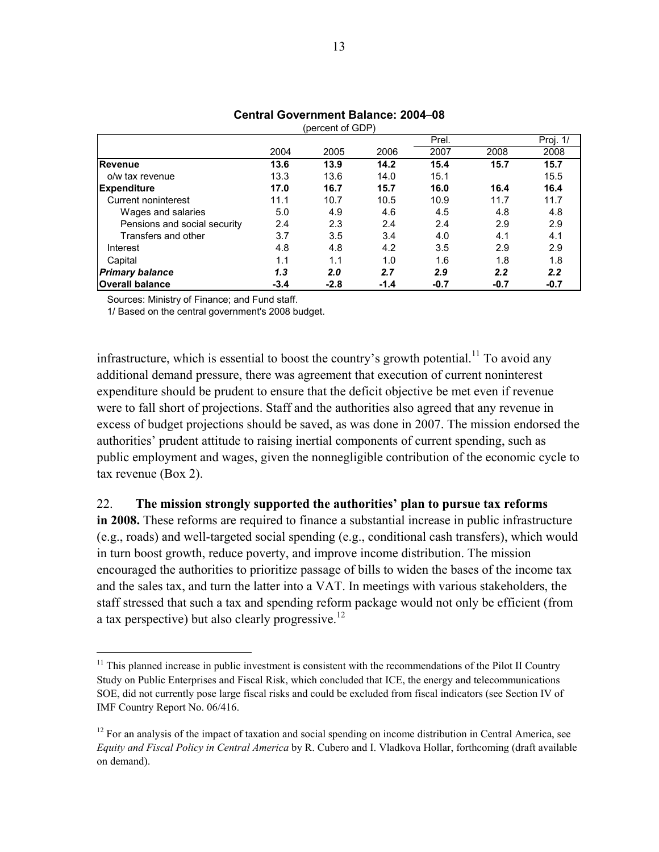|                              |        | (percent of GDP) |        |        |        |          |
|------------------------------|--------|------------------|--------|--------|--------|----------|
|                              |        |                  |        | Prel.  |        | Proj. 1/ |
|                              | 2004   | 2005             | 2006   | 2007   | 2008   | 2008     |
| <b>Revenue</b>               | 13.6   | 13.9             | 14.2   | 15.4   | 15.7   | 15.7     |
| o/w tax revenue              | 13.3   | 13.6             | 14.0   | 15.1   |        | 15.5     |
| <b>Expenditure</b>           | 17.0   | 16.7             | 15.7   | 16.0   | 16.4   | 16.4     |
| Current noninterest          | 11.1   | 10.7             | 10.5   | 10.9   | 11.7   | 11.7     |
| Wages and salaries           | 5.0    | 4.9              | 4.6    | 4.5    | 4.8    | 4.8      |
| Pensions and social security | 2.4    | 2.3              | 2.4    | 2.4    | 2.9    | 2.9      |
| Transfers and other          | 3.7    | 3.5              | 3.4    | 4.0    | 4.1    | 4.1      |
| Interest                     | 4.8    | 4.8              | 4.2    | 3.5    | 2.9    | 2.9      |
| Capital                      | 1.1    | 1.1              | 1.0    | 1.6    | 1.8    | 1.8      |
| <b>Primary balance</b>       | 1.3    | 2.0              | 2.7    | 2.9    | 2.2    | 2.2      |
| <b>Overall balance</b>       | $-3.4$ | $-2.8$           | $-1.4$ | $-0.7$ | $-0.7$ | $-0.7$   |

# **Central Government Balance: 2004–08**

Sources: Ministry of Finance; and Fund staff.

1

1/ Based on the central government's 2008 budget.

infrastructure, which is essential to boost the country's growth potential.<sup>11</sup> To avoid any additional demand pressure, there was agreement that execution of current noninterest expenditure should be prudent to ensure that the deficit objective be met even if revenue were to fall short of projections. Staff and the authorities also agreed that any revenue in excess of budget projections should be saved, as was done in 2007. The mission endorsed the authorities' prudent attitude to raising inertial components of current spending, such as public employment and wages, given the nonnegligible contribution of the economic cycle to tax revenue (Box 2).

### 22. **The mission strongly supported the authorities' plan to pursue tax reforms**

**in 2008.** These reforms are required to finance a substantial increase in public infrastructure (e.g., roads) and well-targeted social spending (e.g., conditional cash transfers), which would in turn boost growth, reduce poverty, and improve income distribution. The mission encouraged the authorities to prioritize passage of bills to widen the bases of the income tax and the sales tax, and turn the latter into a VAT. In meetings with various stakeholders, the staff stressed that such a tax and spending reform package would not only be efficient (from a tax perspective) but also clearly progressive.<sup>12</sup>

<sup>&</sup>lt;sup>11</sup> This planned increase in public investment is consistent with the recommendations of the Pilot II Country Study on Public Enterprises and Fiscal Risk, which concluded that ICE, the energy and telecommunications SOE, did not currently pose large fiscal risks and could be excluded from fiscal indicators (see Section IV of IMF Country Report No. 06/416.

<sup>&</sup>lt;sup>12</sup> For an analysis of the impact of taxation and social spending on income distribution in Central America, see *Equity and Fiscal Policy in Central America* by R. Cubero and I. Vladkova Hollar, forthcoming (draft available on demand).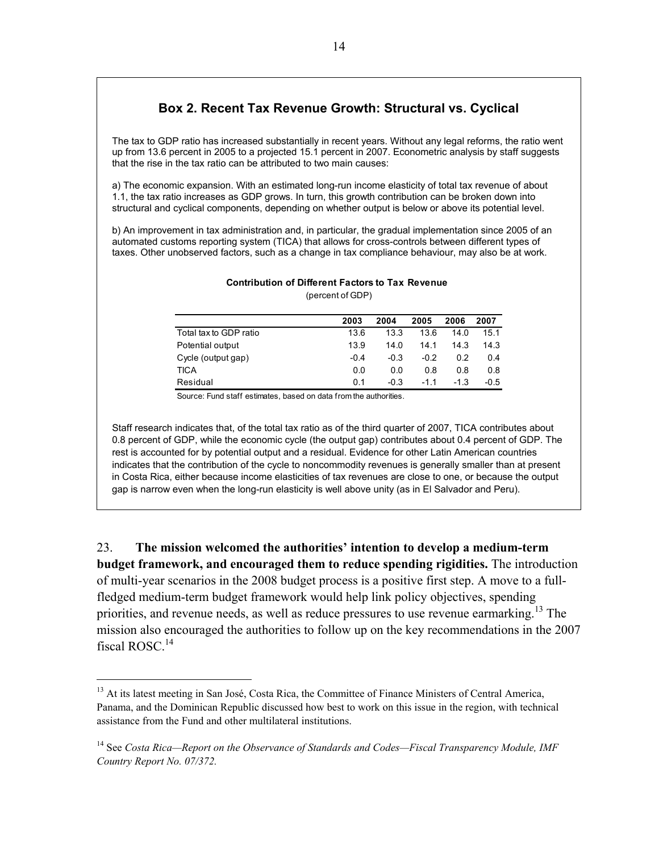### **Box 2. Recent Tax Revenue Growth: Structural vs. Cyclical**

The tax to GDP ratio has increased substantially in recent years. Without any legal reforms, the ratio went up from 13.6 percent in 2005 to a projected 15.1 percent in 2007. Econometric analysis by staff suggests that the rise in the tax ratio can be attributed to two main causes:

a) The economic expansion. With an estimated long-run income elasticity of total tax revenue of about 1.1, the tax ratio increases as GDP grows. In turn, this growth contribution can be broken down into structural and cyclical components, depending on whether output is below or above its potential level.

b) An improvement in tax administration and, in particular, the gradual implementation since 2005 of an automated customs reporting system (TICA) that allows for cross-controls between different types of taxes. Other unobserved factors, such as a change in tax compliance behaviour, may also be at work.

| <b>Contribution of Different Factors to Tax Revenue</b> |
|---------------------------------------------------------|
| (percent of GDP)                                        |

|                        | 2003   | 2004   | 2005   | 2006   | 2007   |
|------------------------|--------|--------|--------|--------|--------|
| Total tax to GDP ratio | 13.6   | 13.3   | 13.6   | 140    | 15.1   |
| Potential output       | 13.9   | 14.0   | 14.1   | 14 3   | 14.3   |
| Cycle (output gap)     | $-0.4$ | $-0.3$ | $-0.2$ | 02     | 0.4    |
| <b>TICA</b>            | 0.0    | 0.0    | 0.8    | 0.8    | 0.8    |
| Residual               | 0.1    | $-0.3$ | -11    | $-1.3$ | $-0.5$ |

Source: Fund staff estimates, based on data from the authorities.

Staff research indicates that, of the total tax ratio as of the third quarter of 2007, TICA contributes about 0.8 percent of GDP, while the economic cycle (the output gap) contributes about 0.4 percent of GDP. The rest is accounted for by potential output and a residual. Evidence for other Latin American countries indicates that the contribution of the cycle to noncommodity revenues is generally smaller than at present in Costa Rica, either because income elasticities of tax revenues are close to one, or because the output gap is narrow even when the long-run elasticity is well above unity (as in El Salvador and Peru).

23. **The mission welcomed the authorities' intention to develop a medium-term budget framework, and encouraged them to reduce spending rigidities.** The introduction of multi-year scenarios in the 2008 budget process is a positive first step. A move to a fullfledged medium-term budget framework would help link policy objectives, spending priorities, and revenue needs, as well as reduce pressures to use revenue earmarking.<sup>13</sup> The mission also encouraged the authorities to follow up on the key recommendations in the 2007 fiscal ROSC.<sup>14</sup>

1

<sup>&</sup>lt;sup>13</sup> At its latest meeting in San José, Costa Rica, the Committee of Finance Ministers of Central America, Panama, and the Dominican Republic discussed how best to work on this issue in the region, with technical assistance from the Fund and other multilateral institutions.

<sup>&</sup>lt;sup>14</sup> See *Costa Rica—Report on the Observance of Standards and Codes—Fiscal Transparency Module, IMF Country Report No. 07/372.*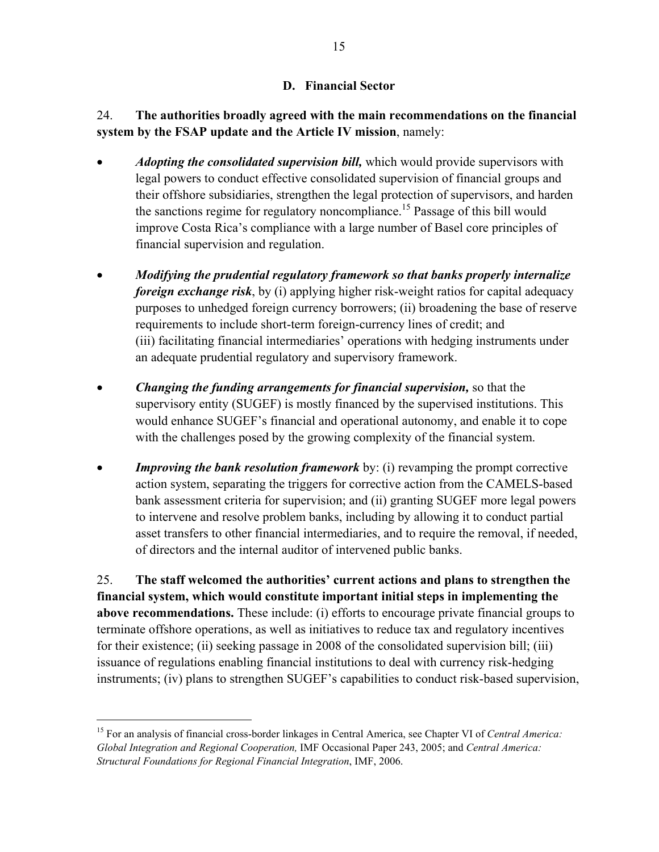# **D. Financial Sector**

24. **The authorities broadly agreed with the main recommendations on the financial system by the FSAP update and the Article IV mission**, namely:

- *Adopting the consolidated supervision bill,* which would provide supervisors with legal powers to conduct effective consolidated supervision of financial groups and their offshore subsidiaries, strengthen the legal protection of supervisors, and harden the sanctions regime for regulatory noncompliance.15 Passage of this bill would improve Costa Rica's compliance with a large number of Basel core principles of financial supervision and regulation.
- *Modifying the prudential regulatory framework so that banks properly internalize foreign exchange risk*, by (i) applying higher risk-weight ratios for capital adequacy purposes to unhedged foreign currency borrowers; (ii) broadening the base of reserve requirements to include short-term foreign-currency lines of credit; and (iii) facilitating financial intermediaries' operations with hedging instruments under an adequate prudential regulatory and supervisory framework.
- *Changing the funding arrangements for financial supervision,* so that the supervisory entity (SUGEF) is mostly financed by the supervised institutions. This would enhance SUGEF's financial and operational autonomy, and enable it to cope with the challenges posed by the growing complexity of the financial system.
- *Improving the bank resolution framework* by: (i) revamping the prompt corrective action system, separating the triggers for corrective action from the CAMELS-based bank assessment criteria for supervision; and (ii) granting SUGEF more legal powers to intervene and resolve problem banks, including by allowing it to conduct partial asset transfers to other financial intermediaries, and to require the removal, if needed, of directors and the internal auditor of intervened public banks.

25. **The staff welcomed the authorities' current actions and plans to strengthen the financial system, which would constitute important initial steps in implementing the above recommendations.** These include: (i) efforts to encourage private financial groups to terminate offshore operations, as well as initiatives to reduce tax and regulatory incentives for their existence; (ii) seeking passage in 2008 of the consolidated supervision bill; (iii) issuance of regulations enabling financial institutions to deal with currency risk-hedging instruments; (iv) plans to strengthen SUGEF's capabilities to conduct risk-based supervision,

<u>.</u>

<sup>15</sup> For an analysis of financial cross-border linkages in Central America, see Chapter VI of *Central America: Global Integration and Regional Cooperation,* IMF Occasional Paper 243, 2005; and *Central America: Structural Foundations for Regional Financial Integration*, IMF, 2006.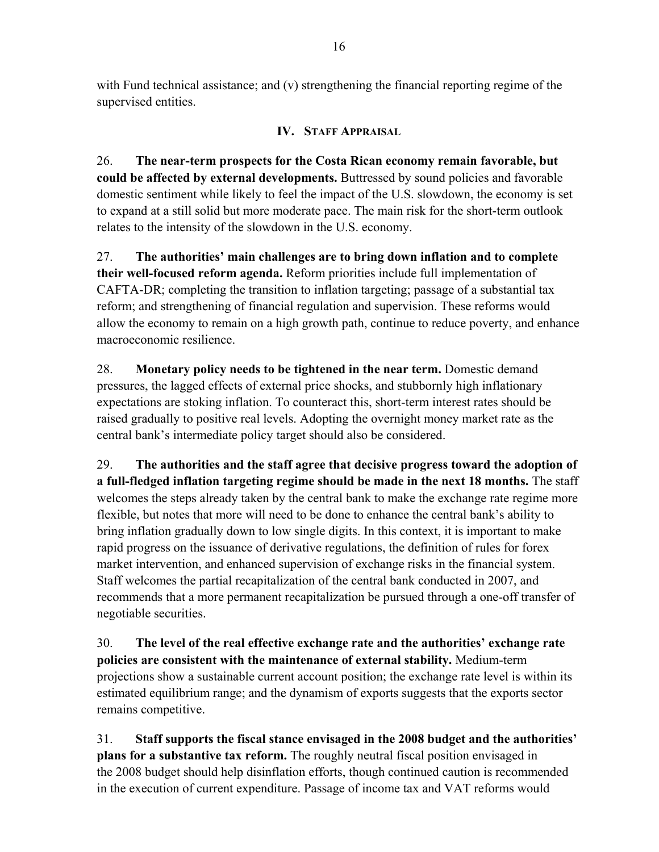with Fund technical assistance; and (v) strengthening the financial reporting regime of the supervised entities.

# **IV. STAFF APPRAISAL**

26. **The near-term prospects for the Costa Rican economy remain favorable, but could be affected by external developments.** Buttressed by sound policies and favorable domestic sentiment while likely to feel the impact of the U.S. slowdown, the economy is set to expand at a still solid but more moderate pace. The main risk for the short-term outlook relates to the intensity of the slowdown in the U.S. economy.

27. **The authorities' main challenges are to bring down inflation and to complete their well-focused reform agenda.** Reform priorities include full implementation of CAFTA-DR; completing the transition to inflation targeting; passage of a substantial tax reform; and strengthening of financial regulation and supervision. These reforms would allow the economy to remain on a high growth path, continue to reduce poverty, and enhance macroeconomic resilience.

28. **Monetary policy needs to be tightened in the near term.** Domestic demand pressures, the lagged effects of external price shocks, and stubbornly high inflationary expectations are stoking inflation. To counteract this, short-term interest rates should be raised gradually to positive real levels. Adopting the overnight money market rate as the central bank's intermediate policy target should also be considered.

29. **The authorities and the staff agree that decisive progress toward the adoption of a full-fledged inflation targeting regime should be made in the next 18 months.** The staff welcomes the steps already taken by the central bank to make the exchange rate regime more flexible, but notes that more will need to be done to enhance the central bank's ability to bring inflation gradually down to low single digits. In this context, it is important to make rapid progress on the issuance of derivative regulations, the definition of rules for forex market intervention, and enhanced supervision of exchange risks in the financial system. Staff welcomes the partial recapitalization of the central bank conducted in 2007, and recommends that a more permanent recapitalization be pursued through a one-off transfer of negotiable securities.

30. **The level of the real effective exchange rate and the authorities' exchange rate policies are consistent with the maintenance of external stability.** Medium-term projections show a sustainable current account position; the exchange rate level is within its estimated equilibrium range; and the dynamism of exports suggests that the exports sector remains competitive.

31. **Staff supports the fiscal stance envisaged in the 2008 budget and the authorities' plans for a substantive tax reform.** The roughly neutral fiscal position envisaged in the 2008 budget should help disinflation efforts, though continued caution is recommended in the execution of current expenditure. Passage of income tax and VAT reforms would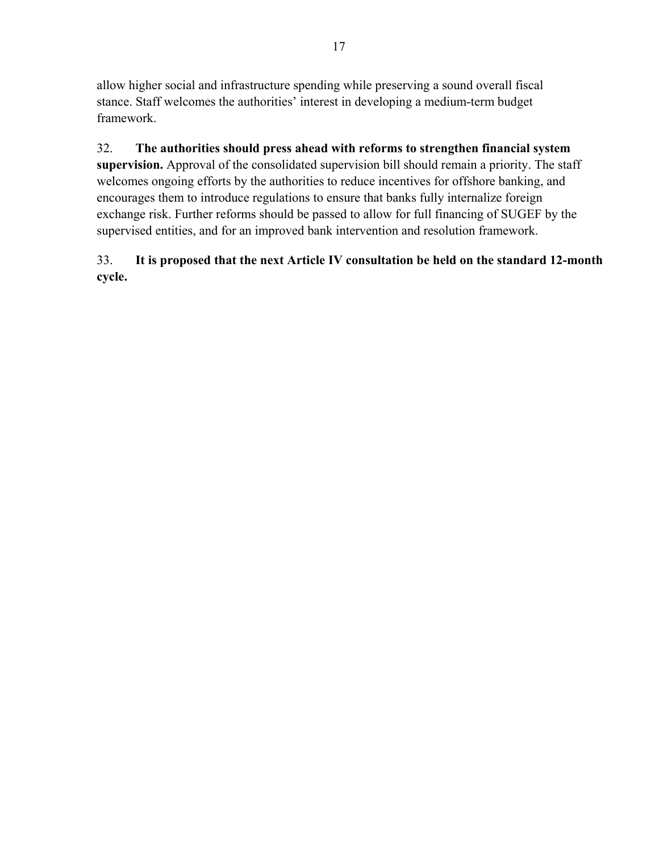allow higher social and infrastructure spending while preserving a sound overall fiscal stance. Staff welcomes the authorities' interest in developing a medium-term budget framework.

32. **The authorities should press ahead with reforms to strengthen financial system supervision.** Approval of the consolidated supervision bill should remain a priority. The staff welcomes ongoing efforts by the authorities to reduce incentives for offshore banking, and encourages them to introduce regulations to ensure that banks fully internalize foreign exchange risk. Further reforms should be passed to allow for full financing of SUGEF by the supervised entities, and for an improved bank intervention and resolution framework.

# 33. **It is proposed that the next Article IV consultation be held on the standard 12-month cycle.**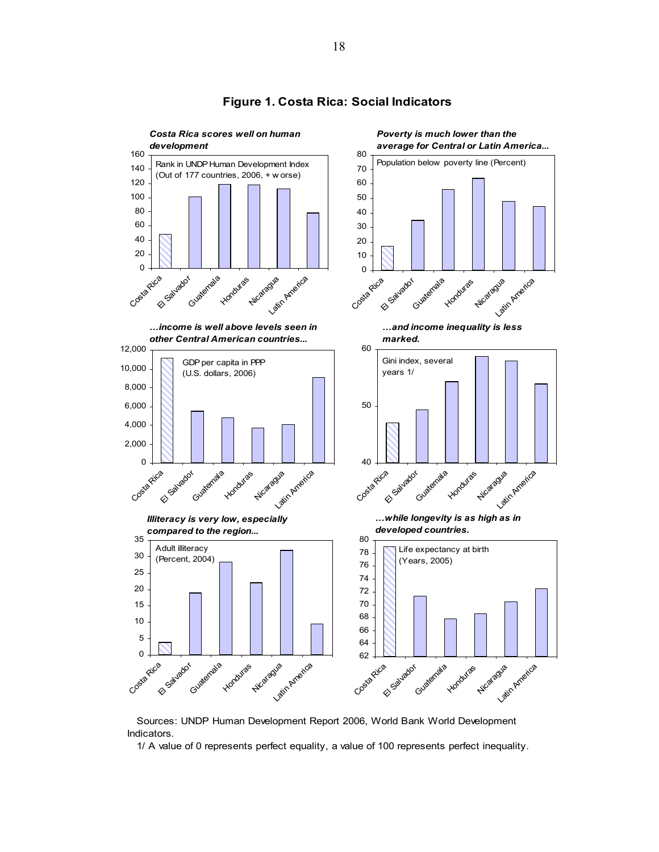

#### **Figure 1. Costa Rica: Social Indicators**

 Sources: UNDP Human Development Report 2006, World Bank World Development Indicators.

1/ A value of 0 represents perfect equality, a value of 100 represents perfect inequality.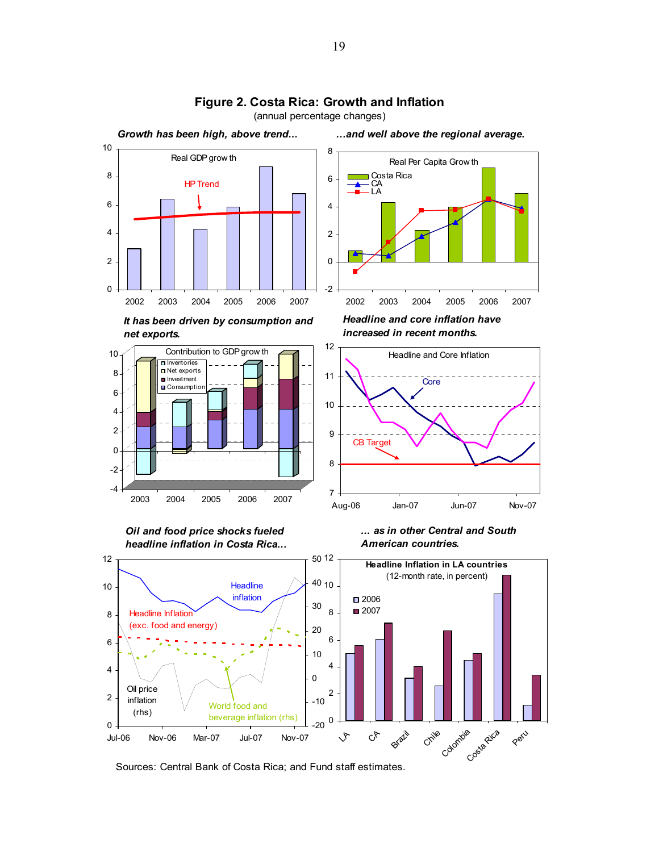

# **Figure 2. Costa Rica: Growth and Inflation**

(annual percentage changes)

*Oil and food price shocks fueled headline inflation in Costa Rica...*





Sources: Central Bank of Costa Rica; and Fund staff estimates.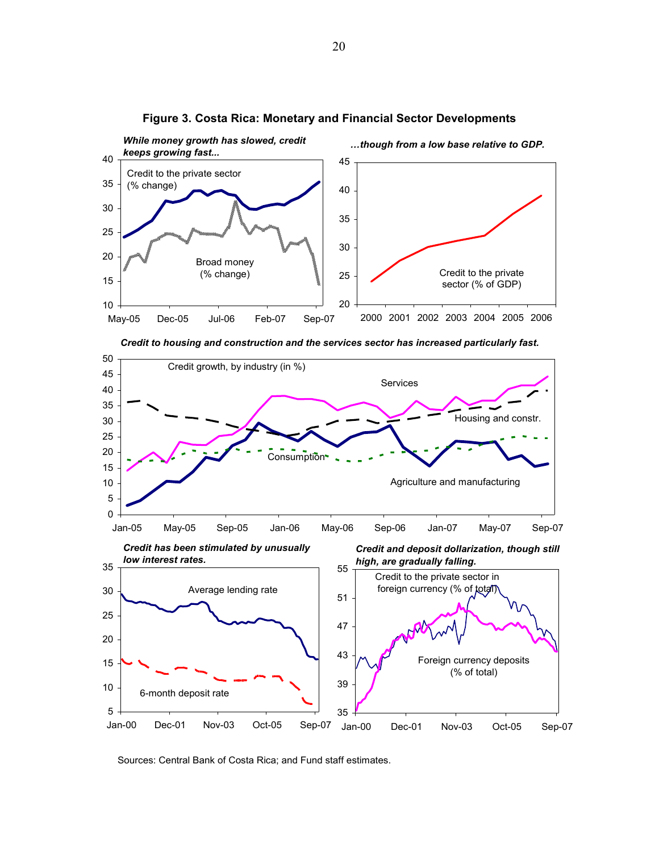

#### **Figure 3. Costa Rica: Monetary and Financial Sector Developments**





Sources: Central Bank of Costa Rica; and Fund staff estimates.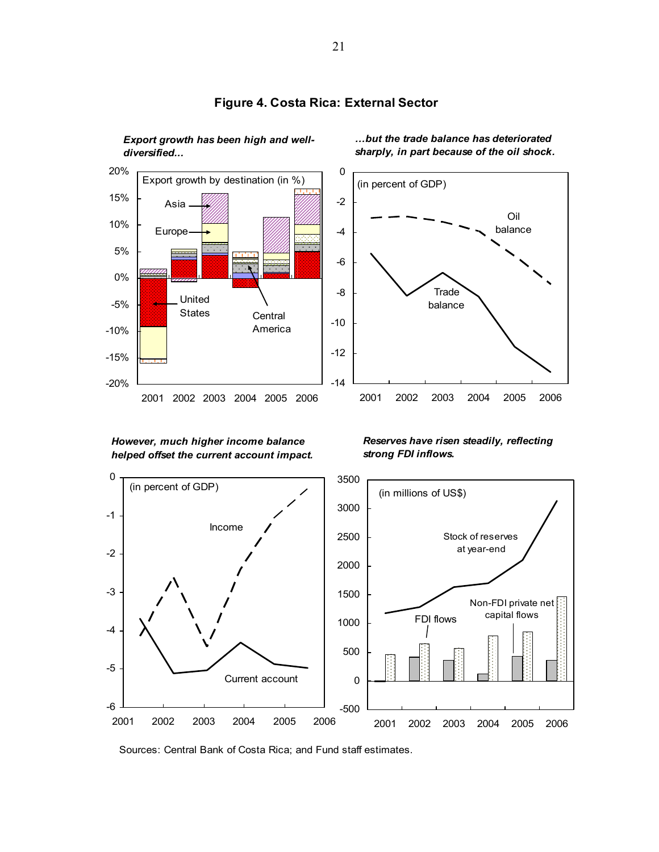

*Export growth has been high and well-*

#### **Figure 4. Costa Rica: External Sector**

*…but the trade balance has deteriorated sharply, in part because of the oil shock.*



#### *However, much higher income balance helped offset the current account impact.*

*Reserves have risen steadily, reflecting strong FDI inflows.*



Sources: Central Bank of Costa Rica; and Fund staff estimates.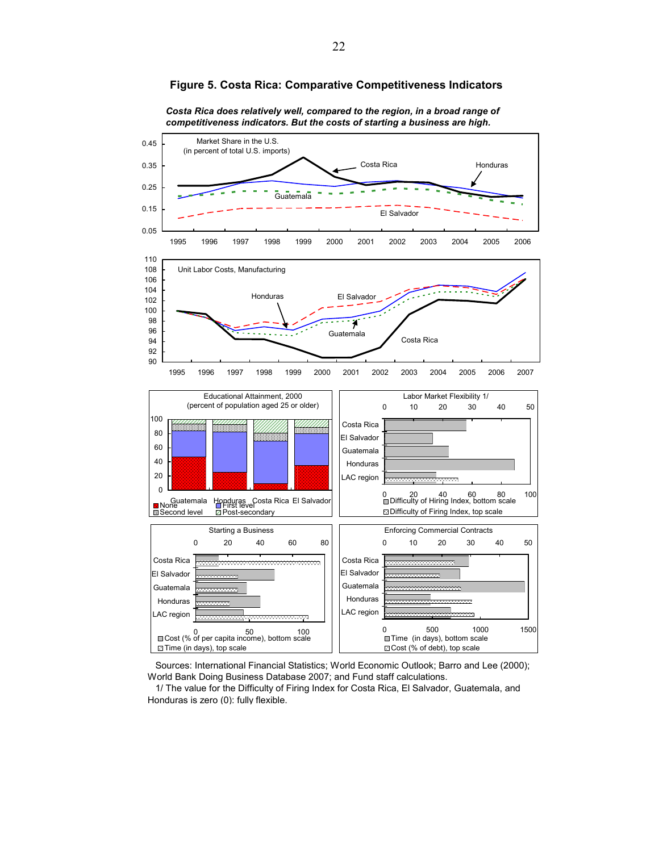

**Figure 5. Costa Rica: Comparative Competitiveness Indicators**

*Costa Rica does relatively well, compared to the region, in a broad range of competitiveness indicators. But the costs of starting a business are high.*

 Sources: International Financial Statistics; World Economic Outlook; Barro and Lee (2000); World Bank Doing Business Database 2007; and Fund staff calculations.

 1/ The value for the Difficulty of Firing Index for Costa Rica, El Salvador, Guatemala, and Honduras is zero (0): fully flexible.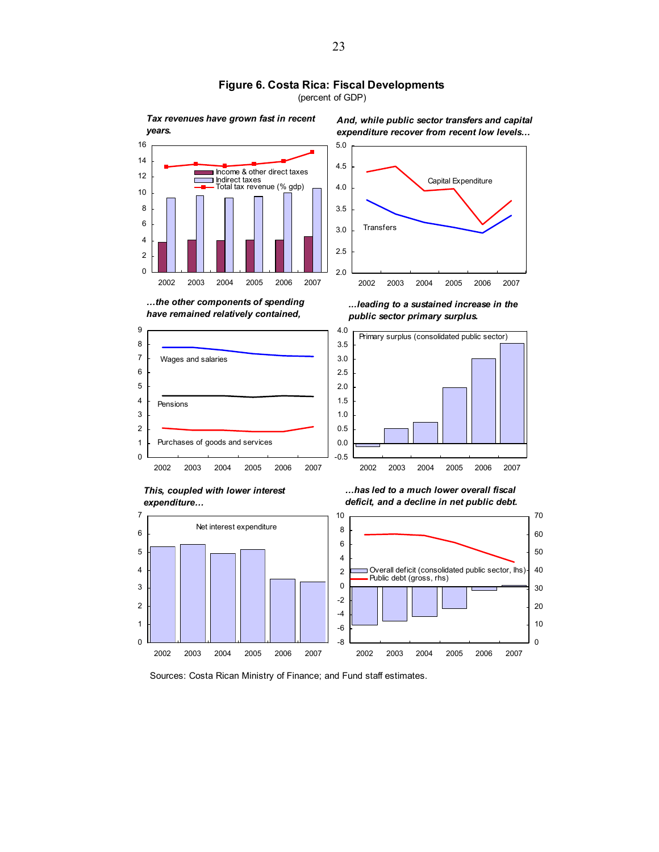

**Figure 6. Costa Rica: Fiscal Developments**

(percent of GDP)

Sources: Costa Rican Ministry of Finance; and Fund staff estimates.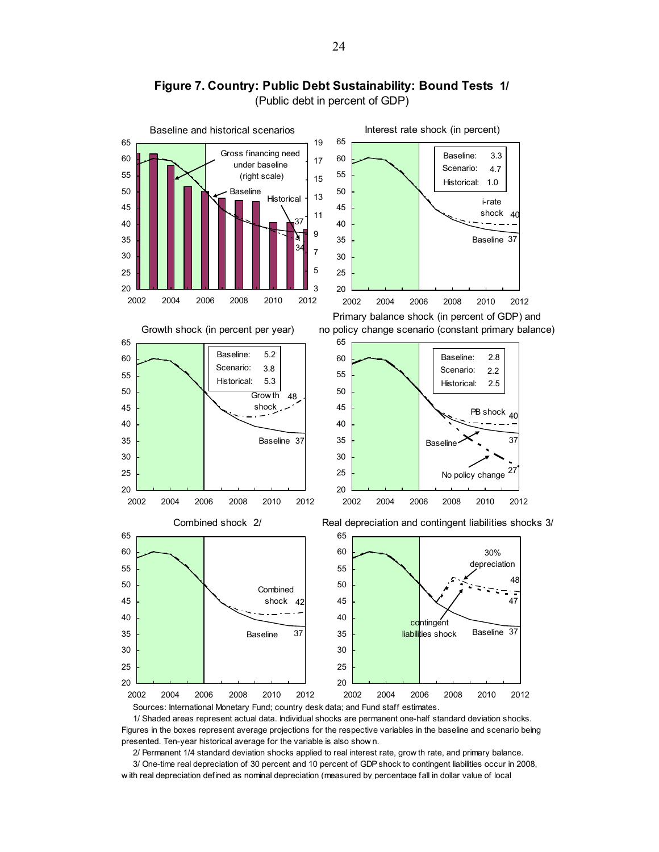

**Figure 7. Country: Public Debt Sustainability: Bound Tests 1/**  (Public debt in percent of GDP)

 1/ Shaded areas represent actual data. Individual shocks are permanent one-half standard deviation shocks. Figures in the boxes represent average projections for the respective variables in the baseline and scenario being presented. Ten-year historical average for the variable is also show n.

2/ Permanent 1/4 standard deviation shocks applied to real interest rate, grow th rate, and primary balance.

 3/ One-time real depreciation of 30 percent and 10 percent of GDP shock to contingent liabilities occur in 2008, w ith real depreciation defined as nominal depreciation (measured by percentage fall in dollar value of local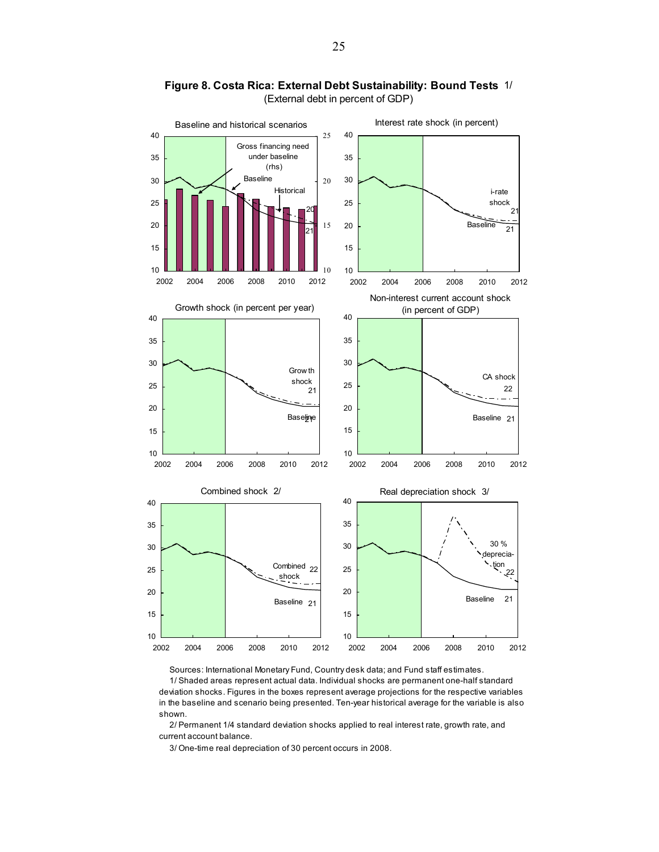

**Figure 8. Costa Rica: External Debt Sustainability: Bound Tests** 1/ (External debt in percent of GDP)

Sources: International Monetary Fund, Country desk data; and Fund staff estimates.

 1/ Shaded areas represent actual data. Individual shocks are permanent one-half standard deviation shocks. Figures in the boxes represent average projections for the respective variables in the baseline and scenario being presented. Ten-year historical average for the variable is also shown.

 2/ Permanent 1/4 standard deviation shocks applied to real interest rate, growth rate, and current account balance.

3/ One-time real depreciation of 30 percent occurs in 2008.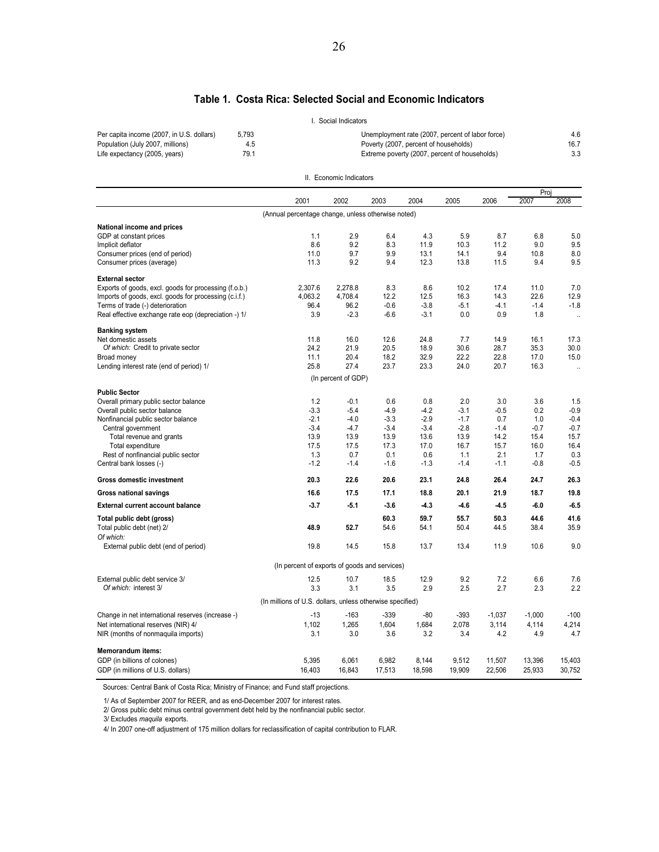#### **Table 1. Costa Rica: Selected Social and Economic Indicators**

|                                           |       | . Social Indicators                              |      |
|-------------------------------------------|-------|--------------------------------------------------|------|
| Per capita income (2007, in U.S. dollars) | 5.793 | Unemployment rate (2007, percent of labor force) | 4.6  |
| Population (July 2007, millions)          | 4.5   | Poverty (2007, percent of households)            | 16.7 |
| Life expectancy (2005, years)             | 79.1  | Extreme poverty (2007, percent of households)    |      |
|                                           |       |                                                  |      |

II. Economic Indicators

|                                                       |                                                           |                     |        |        |        |          | Proj     |                      |
|-------------------------------------------------------|-----------------------------------------------------------|---------------------|--------|--------|--------|----------|----------|----------------------|
|                                                       | 2001                                                      | 2002                | 2003   | 2004   | 2005   | 2006     | 2007     | 2008                 |
|                                                       | (Annual percentage change, unless otherwise noted)        |                     |        |        |        |          |          |                      |
| National income and prices                            |                                                           |                     |        |        |        |          |          |                      |
| GDP at constant prices                                | 1.1                                                       | 2.9                 | 6.4    | 4.3    | 5.9    | 8.7      | 6.8      | 5.0                  |
| Implicit deflator                                     | 8.6                                                       | 9.2                 | 8.3    | 11.9   | 10.3   | 11.2     | 9.0      | 9.5                  |
| Consumer prices (end of period)                       | 11.0                                                      | 9.7                 | 9.9    | 13.1   | 14.1   | 9.4      | 10.8     | 8.0                  |
| Consumer prices (average)                             | 11.3                                                      | 9.2                 | 9.4    | 12.3   | 13.8   | 11.5     | 9.4      | 9.5                  |
| <b>External sector</b>                                |                                                           |                     |        |        |        |          |          |                      |
| Exports of goods, excl. goods for processing (f.o.b.) | 2,307.6                                                   | 2,278.8             | 8.3    | 8.6    | 10.2   | 17.4     | 11.0     | 7.0                  |
| Imports of goods, excl. goods for processing (c.i.f.) | 4,063.2                                                   | 4,708.4             | 12.2   | 12.5   | 16.3   | 14.3     | 22.6     | 12.9                 |
| Terms of trade (-) deterioration                      | 96.4                                                      | 96.2                | $-0.6$ | $-3.8$ | $-5.1$ | $-4.1$   | $-1.4$   | $-1.8$               |
| Real effective exchange rate eop (depreciation -) 1/  | 3.9                                                       | $-2.3$              | $-6.6$ | $-3.1$ | 0.0    | 0.9      | 1.8      | $\ddot{\phantom{a}}$ |
| <b>Banking system</b>                                 |                                                           |                     |        |        |        |          |          |                      |
| Net domestic assets                                   | 11.8                                                      | 16.0                | 12.6   | 24.8   | 7.7    | 14.9     | 16.1     | 17.3                 |
| Of which: Credit to private sector                    | 24.2                                                      | 21.9                | 20.5   | 18.9   | 30.6   | 28.7     | 35.3     | 30.0                 |
| Broad money                                           | 11.1                                                      | 20.4                | 18.2   | 32.9   | 22.2   | 22.8     | 17.0     | 15.0                 |
| Lending interest rate (end of period) 1/              | 25.8                                                      | 27.4                | 23.7   | 23.3   | 24.0   | 20.7     | 16.3     | $\ddot{\phantom{a}}$ |
|                                                       |                                                           | (In percent of GDP) |        |        |        |          |          |                      |
| <b>Public Sector</b>                                  |                                                           |                     |        |        |        |          |          |                      |
| Overall primary public sector balance                 | 1.2                                                       | $-0.1$              | 0.6    | 0.8    | 2.0    | 3.0      | 3.6      | 1.5                  |
| Overall public sector balance                         | $-3.3$                                                    | $-5.4$              | $-4.9$ | $-4.2$ | $-3.1$ | $-0.5$   | 0.2      | $-0.9$               |
| Nonfinancial public sector balance                    | $-2.1$                                                    | $-4.0$              | $-3.3$ | $-2.9$ | $-1.7$ | 0.7      | 1.0      | $-0.4$               |
| Central government                                    | $-3.4$                                                    | $-4.7$              | $-3.4$ | $-3.4$ | $-2.8$ | $-1.4$   | $-0.7$   | $-0.7$               |
| Total revenue and grants                              | 13.9                                                      | 13.9                | 13.9   | 13.6   | 13.9   | 14.2     | 15.4     | 15.7                 |
| Total expenditure                                     | 17.5                                                      | 17.5                | 17.3   | 17.0   | 16.7   | 15.7     | 16.0     | 16.4                 |
| Rest of nonfinancial public sector                    | 1.3                                                       | 0.7                 | 0.1    | 0.6    | 1.1    | 2.1      | 1.7      | 0.3                  |
| Central bank losses (-)                               | $-1.2$                                                    | $-1.4$              | $-1.6$ | $-1.3$ | $-1.4$ | $-1.1$   | $-0.8$   | $-0.5$               |
| <b>Gross domestic investment</b>                      | 20.3                                                      | 22.6                | 20.6   | 23.1   | 24.8   | 26.4     | 24.7     | 26.3                 |
| Gross national savings                                | 16.6                                                      | 17.5                | 17.1   | 18.8   | 20.1   | 21.9     | 18.7     | 19.8                 |
| <b>External current account balance</b>               | $-3.7$                                                    | $-5.1$              | $-3.6$ | $-4.3$ | $-4.6$ | $-4.5$   | -6.0     | $-6.5$               |
| Total public debt (gross)                             |                                                           |                     | 60.3   | 59.7   | 55.7   | 50.3     | 44.6     | 41.6                 |
| Total public debt (net) 2/                            | 48.9                                                      | 52.7                | 54.6   | 54.1   | 50.4   | 44.5     | 38.4     | 35.9                 |
| Of which:                                             |                                                           |                     |        |        |        |          |          |                      |
| External public debt (end of period)                  | 19.8                                                      | 14.5                | 15.8   | 13.7   | 13.4   | 11.9     | 10.6     | 9.0                  |
|                                                       | (In percent of exports of goods and services)             |                     |        |        |        |          |          |                      |
| External public debt service 3/                       | 12.5                                                      | 10.7                | 18.5   | 12.9   | 9.2    | 7.2      | 6.6      | 7.6                  |
| Of which: interest 3/                                 | 3.3                                                       | 3.1                 | 3.5    | 2.9    | 2.5    | 2.7      | 2.3      | 2.2                  |
|                                                       | (In millions of U.S. dollars, unless otherwise specified) |                     |        |        |        |          |          |                      |
| Change in net international reserves (increase -)     | $-13$                                                     | $-163$              | $-339$ | -80    | $-393$ | $-1,037$ | $-1,000$ | $-100$               |
| Net international reserves (NIR) 4/                   | 1,102                                                     | 1,265               | 1,604  | 1,684  | 2,078  | 3,114    | 4,114    | 4,214                |
| NIR (months of nonmaquila imports)                    | 3.1                                                       | 3.0                 | 3.6    | 3.2    | 3.4    | 4.2      | 4.9      | 4.7                  |
| <b>Memorandum items:</b>                              |                                                           |                     |        |        |        |          |          |                      |
| GDP (in billions of colones)                          | 5,395                                                     | 6,061               | 6,982  | 8,144  | 9,512  | 11,507   | 13,396   | 15,403               |
| GDP (in millions of U.S. dollars)                     | 16,403                                                    | 16,843              | 17,513 | 18,598 | 19,909 | 22,506   | 25,933   | 30.752               |
|                                                       |                                                           |                     |        |        |        |          |          |                      |

Sources: Central Bank of Costa Rica; Ministry of Finance; and Fund staff projections.

1/ As of September 2007 for REER, and as end-December 2007 for interest rates.

2/ Gross public debt minus central government debt held by the nonfinancial public sector.

3/ Excludes *maquila* exports.

4/ In 2007 one-off adjustment of 175 million dollars for reclassification of capital contribution to FLAR.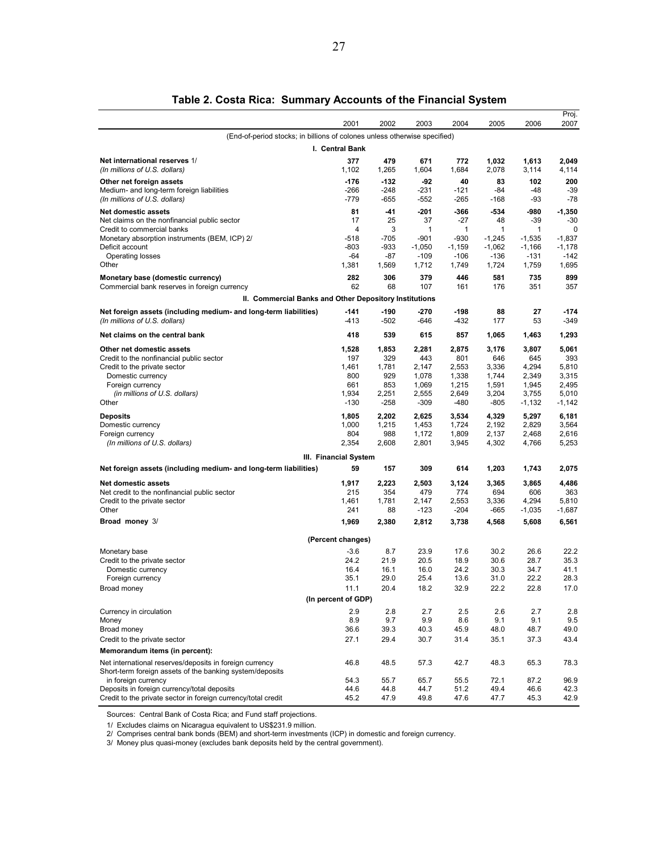|                                                                                                                     |                       |              |                |                |                |                | Proj.          |
|---------------------------------------------------------------------------------------------------------------------|-----------------------|--------------|----------------|----------------|----------------|----------------|----------------|
|                                                                                                                     | 2001                  | 2002         | 2003           | 2004           | 2005           | 2006           | 2007           |
| (End-of-period stocks; in billions of colones unless otherwise specified)                                           |                       |              |                |                |                |                |                |
|                                                                                                                     | I. Central Bank       |              |                |                |                |                |                |
| Net international reserves 1/                                                                                       | 377                   | 479          | 671            | 772            | 1,032          | 1,613          | 2,049          |
| (In millions of U.S. dollars)                                                                                       | 1,102                 | 1,265        | 1,604          | 1,684          | 2,078          | 3,114          | 4,114          |
| Other net foreign assets                                                                                            | $-176$                | -132         | -92            | 40             | 83             | 102            | 200            |
| Medium- and long-term foreign liabilities                                                                           | $-266$                | -248         | $-231$         | $-121$         | -84            | $-48$          | $-39$          |
| (In millions of U.S. dollars)                                                                                       | -779                  | -655         | -552           | $-265$         | $-168$         | -93            | -78            |
| <b>Net domestic assets</b>                                                                                          | 81                    | -41          | -201           | -366           | -534           | -980           | $-1,350$       |
| Net claims on the nonfinancial public sector<br>Credit to commercial banks                                          | 17<br>4               | 25<br>3      | 37<br>1        | -27<br>1       | 48<br>1        | -39<br>1       | -30<br>0       |
| Monetary absorption instruments (BEM, ICP) 2/                                                                       | -518                  | -705         | $-901$         | -930           | $-1,245$       | $-1,535$       | $-1,837$       |
| Deficit account                                                                                                     | -803                  | -933         | $-1,050$       | $-1,159$       | $-1,062$       | $-1,166$       | -1,178         |
| Operating losses                                                                                                    | -64                   | -87          | $-109$         | $-106$         | $-136$         | -131           | $-142$         |
| Other                                                                                                               | 1,381                 | 1,569        | 1,712          | 1,749          | 1,724          | 1,759          | 1,695          |
| Monetary base (domestic currency)                                                                                   | 282                   | 306          | 379            | 446            | 581            | 735            | 899            |
| Commercial bank reserves in foreign currency                                                                        | 62                    | 68           | 107            | 161            | 176            | 351            | 357            |
| II. Commercial Banks and Other Depository Institutions                                                              |                       |              |                |                |                |                |                |
| Net foreign assets (including medium- and long-term liabilities)                                                    | -141                  | -190         | -270           | -198           | 88             | 27             | -174           |
| (In millions of U.S. dollars)                                                                                       | $-413$                | -502         | $-646$         | -432           | 177            | 53             | $-349$         |
| Net claims on the central bank                                                                                      | 418                   | 539          | 615            | 857            | 1,065          | 1,463          | 1,293          |
| Other net domestic assets                                                                                           | 1,528                 | 1,853        | 2,281          | 2,875          | 3,176          | 3,807          | 5,061          |
| Credit to the nonfinancial public sector                                                                            | 197                   | 329          | 443            | 801            | 646            | 645            | 393            |
| Credit to the private sector                                                                                        | 1,461                 | 1,781        | 2,147          | 2,553          | 3,336          | 4,294          | 5,810          |
| Domestic currency                                                                                                   | 800                   | 929          | 1,078          | 1,338          | 1,744          | 2.349          | 3.315          |
| Foreign currency<br>(in millions of U.S. dollars)                                                                   | 661<br>1,934          | 853<br>2,251 | 1,069<br>2,555 | 1,215<br>2,649 | 1,591<br>3,204 | 1,945<br>3,755 | 2,495<br>5,010 |
| Other                                                                                                               | $-130$                | -258         | $-309$         | -480           | -805           | $-1,132$       | -1,142         |
| Deposits                                                                                                            | 1,805                 | 2,202        | 2,625          | 3,534          | 4,329          | 5,297          | 6,181          |
| Domestic currency                                                                                                   | 1,000                 | 1,215        | 1,453          | 1,724          | 2,192          | 2,829          | 3,564          |
| Foreign currency                                                                                                    | 804                   | 988          | 1,172          | 1,809          | 2,137          | 2,468          | 2,616          |
| (In millions of U.S. dollars)                                                                                       | 2,354                 | 2,608        | 2,801          | 3,945          | 4,302          | 4,766          | 5,253          |
|                                                                                                                     | III. Financial System |              |                |                |                |                |                |
| Net foreign assets (including medium- and long-term liabilities)                                                    | 59                    | 157          | 309            | 614            | 1,203          | 1,743          | 2,075          |
| <b>Net domestic assets</b>                                                                                          | 1,917                 | 2,223        | 2,503          | 3,124          | 3,365          | 3,865          | 4,486          |
| Net credit to the nonfinancial public sector                                                                        | 215                   | 354          | 479            | 774            | 694            | 606            | 363            |
| Credit to the private sector                                                                                        | 1,461                 | 1,781        | 2,147          | 2,553          | 3,336          | 4,294          | 5,810          |
| Other                                                                                                               | 241                   | 88           | -123           | -204           | -665           | $-1,035$       | -1,687         |
| Broad money 3/                                                                                                      | 1,969                 | 2,380        | 2,812          | 3,738          | 4,568          | 5,608          | 6,561          |
|                                                                                                                     | (Percent changes)     |              |                |                |                |                |                |
| Monetary base                                                                                                       | $-3.6$                | 8.7          | 23.9           | 17.6           | 30.2           | 26.6           | 22.2           |
| Credit to the private sector                                                                                        | 24.2                  | 21.9         | 20.5           | 18.9           | 30.6           | 28.7           | 35.3           |
| Domestic currency                                                                                                   | 16.4                  | 16.1         | 16.0           | 24.2           | 30.3           | 34.7           | 41.1           |
| Foreign currency                                                                                                    | 35.1                  | 29.0         | 25.4           | 13.6           | 31.0           | 22.2           | 28.3           |
| Broad money                                                                                                         | 11.1                  | 20.4         | 18.2           | 32.9           | 22.2           | 22.8           | 17.0           |
|                                                                                                                     | (In percent of GDP)   |              |                |                |                |                |                |
| Currency in circulation                                                                                             | 2.9                   | 2.8          | 2.7            | 2.5            | 2.6            | 2.7            | 2.8            |
| Money                                                                                                               | 8.9                   | 9.7          | 9.9            | 8.6            | 9.1            | 9.1            | 9.5            |
| Broad money<br>Credit to the private sector                                                                         | 36.6<br>27.1          | 39.3<br>29.4 | 40.3<br>30.7   | 45.9<br>31.4   | 48.0<br>35.1   | 48.7<br>37.3   | 49.0<br>43.4   |
|                                                                                                                     |                       |              |                |                |                |                |                |
| Memorandum items (in percent):                                                                                      |                       |              |                |                |                |                |                |
| Net international reserves/deposits in foreign currency<br>Short-term foreign assets of the banking system/deposits | 46.8                  | 48.5         | 57.3           | 42.7           | 48.3           | 65.3           | 78.3           |
| in foreign currency                                                                                                 | 54.3                  | 55.7         | 65.7           | 55.5           | 72.1           | 87.2           | 96.9           |
| Deposits in foreign currency/total deposits                                                                         | 44.6                  | 44.8         | 44.7           | 51.2           | 49.4           | 46.6           | 42.3           |
| Credit to the private sector in foreign currency/total credit                                                       | 45.2                  | 47.9         | 49.8           | 47.6           | 47.7           | 45.3           | 42.9           |

#### **Table 2. Costa Rica: Summary Accounts of the Financial System**

Sources: Central Bank of Costa Rica; and Fund staff projections.

1/ Excludes claims on Nicaragua equivalent to US\$231.9 million.

2/ Comprises central bank bonds (BEM) and short-term investments (ICP) in domestic and foreign currency.

3/ Money plus quasi-money (excludes bank deposits held by the central government).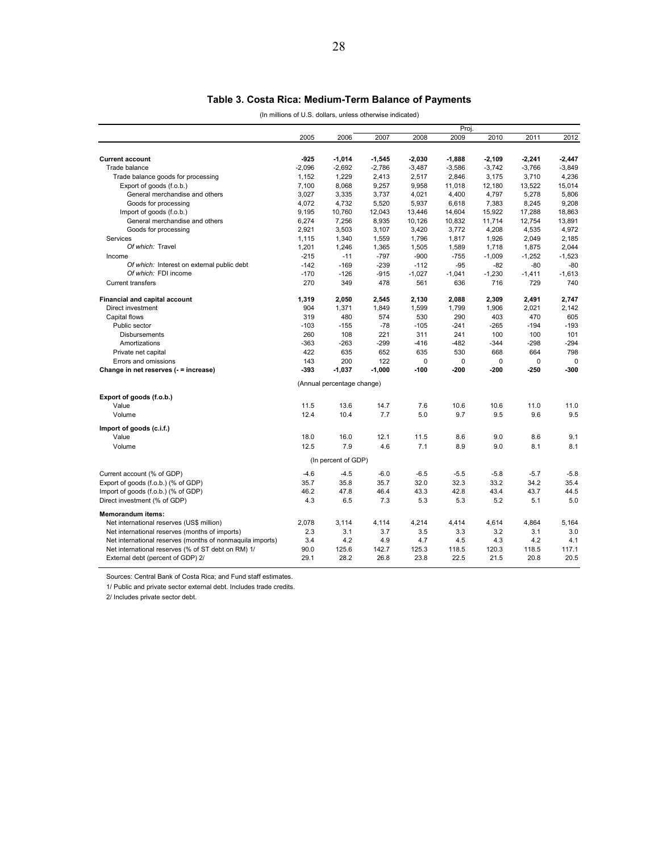### **Table 3. Costa Rica: Medium-Term Balance of Payments**

(In millions of U.S. dollars, unless otherwise indicated)

|                                                           | Proj.    |                            |          |          |          |          |          |          |
|-----------------------------------------------------------|----------|----------------------------|----------|----------|----------|----------|----------|----------|
|                                                           | 2005     | 2006                       | 2007     | 2008     | 2009     | 2010     | 2011     | 2012     |
|                                                           |          |                            |          |          |          |          |          |          |
| <b>Current account</b>                                    | $-925$   | $-1,014$                   | $-1,545$ | $-2,030$ | $-1,888$ | $-2,109$ | $-2,241$ | $-2,447$ |
| Trade balance                                             | $-2,096$ | $-2,692$                   | $-2,786$ | $-3,487$ | $-3,586$ | $-3,742$ | $-3,766$ | $-3,849$ |
| Trade balance goods for processing                        | 1,152    | 1,229                      | 2,413    | 2,517    | 2,846    | 3,175    | 3,710    | 4,236    |
| Export of goods (f.o.b.)                                  | 7,100    | 8,068                      | 9,257    | 9,958    | 11,018   | 12,180   | 13,522   | 15,014   |
| General merchandise and others                            | 3,027    | 3,335                      | 3,737    | 4,021    | 4,400    | 4,797    | 5,278    | 5,806    |
| Goods for processing                                      | 4,072    | 4,732                      | 5,520    | 5,937    | 6,618    | 7,383    | 8,245    | 9,208    |
| Import of goods (f.o.b.)                                  | 9,195    | 10,760                     | 12,043   | 13,446   | 14,604   | 15,922   | 17,288   | 18,863   |
| General merchandise and others                            | 6,274    | 7,256                      | 8,935    | 10,126   | 10,832   | 11,714   | 12,754   | 13,891   |
| Goods for processing                                      | 2,921    | 3,503                      | 3,107    | 3,420    | 3,772    | 4,208    | 4,535    | 4,972    |
| Services                                                  |          |                            | 1,559    | 1,796    |          |          | 2,049    | 2,185    |
| Of which: Travel                                          | 1,115    | 1,340                      |          |          | 1,817    | 1,926    |          |          |
|                                                           | 1,201    | 1,246                      | 1,365    | 1,505    | 1,589    | 1,718    | 1,875    | 2,044    |
| Income                                                    | $-215$   | $-11$                      | $-797$   | $-900$   | $-755$   | $-1,009$ | $-1,252$ | $-1,523$ |
| Of which: Interest on external public debt                | $-142$   | $-169$                     | $-239$   | $-112$   | $-95$    | $-82$    | $-80$    | $-80$    |
| Of which: FDI income                                      | $-170$   | $-126$                     | $-915$   | $-1,027$ | $-1,041$ | $-1,230$ | $-1,411$ | $-1,613$ |
| <b>Current transfers</b>                                  | 270      | 349                        | 478      | 561      | 636      | 716      | 729      | 740      |
| Financial and capital account                             | 1,319    | 2,050                      | 2,545    | 2,130    | 2,088    | 2,309    | 2,491    | 2,747    |
| Direct investment                                         | 904      | 1,371                      | 1,849    | 1,599    | 1,799    | 1,906    | 2,021    | 2,142    |
| Capital flows                                             | 319      | 480                        | 574      | 530      | 290      | 403      | 470      | 605      |
| Public sector                                             | $-103$   | $-155$                     | $-78$    | $-105$   | $-241$   | $-265$   | $-194$   | $-193$   |
| <b>Disbursements</b>                                      | 260      | 108                        | 221      | 311      | 241      | 100      | 100      | 101      |
| Amortizations                                             | $-363$   | $-263$                     | $-299$   | $-416$   | $-482$   | $-344$   | $-298$   | $-294$   |
| Private net capital                                       | 422      | 635                        | 652      | 635      | 530      | 668      | 664      | 798      |
| Errors and omissions                                      | 143      | 200                        | 122      | 0        | $\Omega$ | $\Omega$ | $\Omega$ | $\Omega$ |
| Change in net reserves (- = increase)                     | $-393$   | $-1.037$                   | $-1.000$ | $-100$   | $-200$   | $-200$   | $-250$   | $-300$   |
|                                                           |          | (Annual percentage change) |          |          |          |          |          |          |
|                                                           |          |                            |          |          |          |          |          |          |
| Export of goods (f.o.b.)                                  |          |                            |          |          |          |          |          |          |
| Value                                                     | 11.5     | 13.6                       | 14.7     | 7.6      | 10.6     | 10.6     | 11.0     | 11.0     |
| Volume                                                    | 12.4     | 10.4                       | 7.7      | 5.0      | 9.7      | 9.5      | 9.6      | 9.5      |
| Import of goods (c.i.f.)                                  |          |                            |          |          |          |          |          |          |
| Value                                                     | 18.0     | 16.0                       | 12.1     | 11.5     | 8.6      | 9.0      | 8.6      | 9.1      |
| Volume                                                    | 12.5     | 7.9                        | 4.6      | 7.1      | 8.9      | 9.0      | 8.1      | 8.1      |
|                                                           |          | (In percent of GDP)        |          |          |          |          |          |          |
| Current account (% of GDP)                                | $-4.6$   | $-4.5$                     | $-6.0$   | $-6.5$   | $-5.5$   | $-5.8$   | $-5.7$   | $-5.8$   |
| Export of goods (f.o.b.) (% of GDP)                       | 35.7     | 35.8                       | 35.7     | 32.0     | 32.3     | 33.2     | 34.2     | 35.4     |
| Import of goods (f.o.b.) (% of GDP)                       | 46.2     | 47.8                       | 46.4     | 43.3     | 42.8     | 43.4     | 43.7     | 44.5     |
|                                                           |          |                            |          |          |          |          |          | 5.0      |
| Direct investment (% of GDP)                              | 4.3      | 6.5                        | 7.3      | 5.3      | 5.3      | 5.2      | 5.1      |          |
| Memorandum items:                                         |          |                            |          |          |          |          |          |          |
| Net international reserves (US\$ million)                 | 2,078    | 3,114                      | 4,114    | 4,214    | 4,414    | 4,614    | 4,864    | 5,164    |
| Net international reserves (months of imports)            | 2.3      | 3.1                        | 3.7      | 3.5      | 3.3      | 3.2      | 3.1      | 3.0      |
| Net international reserves (months of nonmaquila imports) | 3.4      | 4.2                        | 4.9      | 4.7      | 4.5      | 4.3      | 4.2      | 4.1      |
| Net international reserves (% of ST debt on RM) 1/        | 90.0     | 125.6                      | 142.7    | 125.3    | 118.5    | 120.3    | 118.5    | 117.1    |
| External debt (percent of GDP) 2/                         | 29.1     | 28.2                       | 26.8     | 23.8     | 22.5     | 21.5     | 20.8     | 20.5     |

Sources: Central Bank of Costa Rica; and Fund staff estimates.

1/ Public and private sector external debt. Includes trade credits.

2/ Includes private sector debt.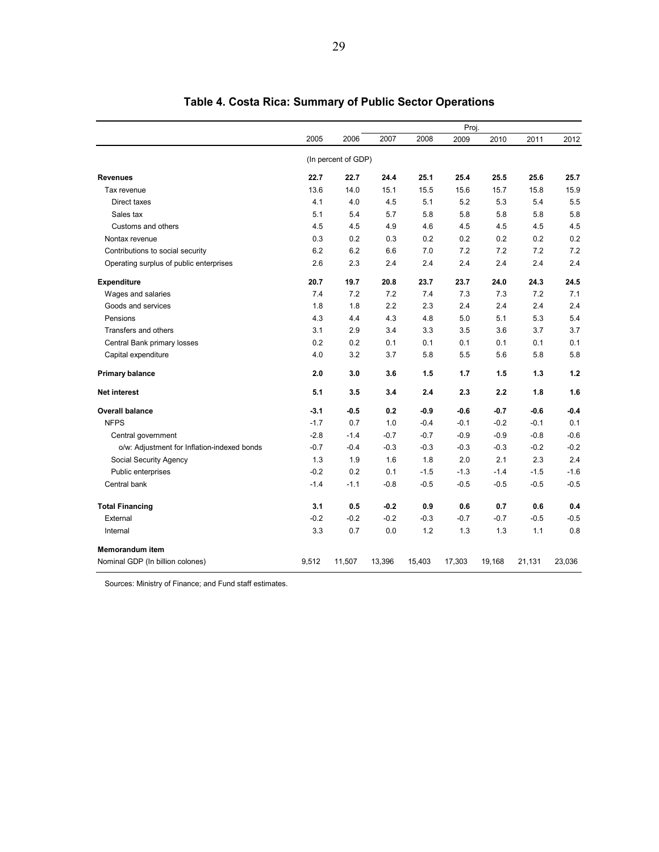|                                             |        |                     |        |        | Proj.  |        |        |        |
|---------------------------------------------|--------|---------------------|--------|--------|--------|--------|--------|--------|
|                                             | 2005   | 2006                | 2007   | 2008   | 2009   | 2010   | 2011   | 2012   |
|                                             |        | (In percent of GDP) |        |        |        |        |        |        |
| <b>Revenues</b>                             | 22.7   | 22.7                | 24.4   | 25.1   | 25.4   | 25.5   | 25.6   | 25.7   |
| Tax revenue                                 | 13.6   | 14.0                | 15.1   | 15.5   | 15.6   | 15.7   | 15.8   | 15.9   |
| Direct taxes                                | 4.1    | 4.0                 | 4.5    | 5.1    | 5.2    | 5.3    | 5.4    | 5.5    |
| Sales tax                                   | 5.1    | 5.4                 | 5.7    | 5.8    | 5.8    | 5.8    | 5.8    | 5.8    |
| Customs and others                          | 4.5    | 4.5                 | 4.9    | 4.6    | 4.5    | 4.5    | 4.5    | 4.5    |
| Nontax revenue                              | 0.3    | 0.2                 | 0.3    | 0.2    | 0.2    | 0.2    | 0.2    | 0.2    |
| Contributions to social security            | 6.2    | 6.2                 | 6.6    | 7.0    | 7.2    | 7.2    | 7.2    | 7.2    |
| Operating surplus of public enterprises     | 2.6    | 2.3                 | 2.4    | 2.4    | 2.4    | 2.4    | 2.4    | 2.4    |
| <b>Expenditure</b>                          | 20.7   | 19.7                | 20.8   | 23.7   | 23.7   | 24.0   | 24.3   | 24.5   |
| Wages and salaries                          | 7.4    | 7.2                 | 7.2    | 7.4    | 7.3    | 7.3    | 7.2    | 7.1    |
| Goods and services                          | 1.8    | 1.8                 | 2.2    | 2.3    | 2.4    | 2.4    | 2.4    | 2.4    |
| Pensions                                    | 4.3    | 4.4                 | 4.3    | 4.8    | 5.0    | 5.1    | 5.3    | 5.4    |
| Transfers and others                        | 3.1    | 2.9                 | 3.4    | 3.3    | 3.5    | 3.6    | 3.7    | 3.7    |
| Central Bank primary losses                 | 0.2    | 0.2                 | 0.1    | 0.1    | 0.1    | 0.1    | 0.1    | 0.1    |
| Capital expenditure                         | 4.0    | 3.2                 | 3.7    | 5.8    | 5.5    | 5.6    | 5.8    | 5.8    |
| <b>Primary balance</b>                      | 2.0    | 3.0                 | 3.6    | 1.5    | 1.7    | 1.5    | 1.3    | 1.2    |
| <b>Net interest</b>                         | 5.1    | 3.5                 | 3.4    | 2.4    | 2.3    | 2.2    | 1.8    | 1.6    |
| <b>Overall balance</b>                      | $-3.1$ | $-0.5$              | 0.2    | $-0.9$ | $-0.6$ | $-0.7$ | $-0.6$ | $-0.4$ |
| <b>NFPS</b>                                 | $-1.7$ | 0.7                 | 1.0    | $-0.4$ | $-0.1$ | $-0.2$ | $-0.1$ | 0.1    |
| Central government                          | $-2.8$ | $-1.4$              | $-0.7$ | $-0.7$ | $-0.9$ | $-0.9$ | $-0.8$ | $-0.6$ |
| o/w: Adjustment for Inflation-indexed bonds | $-0.7$ | $-0.4$              | $-0.3$ | $-0.3$ | $-0.3$ | $-0.3$ | $-0.2$ | $-0.2$ |
| Social Security Agency                      | 1.3    | 1.9                 | 1.6    | 1.8    | 2.0    | 2.1    | 2.3    | 2.4    |
| Public enterprises                          | $-0.2$ | 0.2                 | 0.1    | $-1.5$ | $-1.3$ | $-1.4$ | $-1.5$ | $-1.6$ |
| Central bank                                | $-1.4$ | $-1.1$              | $-0.8$ | $-0.5$ | $-0.5$ | $-0.5$ | $-0.5$ | $-0.5$ |
| <b>Total Financing</b>                      | 3.1    | 0.5                 | $-0.2$ | 0.9    | 0.6    | 0.7    | 0.6    | 0.4    |
| External                                    | $-0.2$ | $-0.2$              | $-0.2$ | $-0.3$ | $-0.7$ | $-0.7$ | $-0.5$ | $-0.5$ |
| Internal                                    | 3.3    | 0.7                 | 0.0    | 1.2    | 1.3    | 1.3    | 1.1    | 0.8    |
| Memorandum item                             |        |                     |        |        |        |        |        |        |
| Nominal GDP (In billion colones)            | 9,512  | 11,507              | 13,396 | 15,403 | 17,303 | 19,168 | 21,131 | 23,036 |

# **Table 4. Costa Rica: Summary of Public Sector Operations**

Sources: Ministry of Finance; and Fund staff estimates.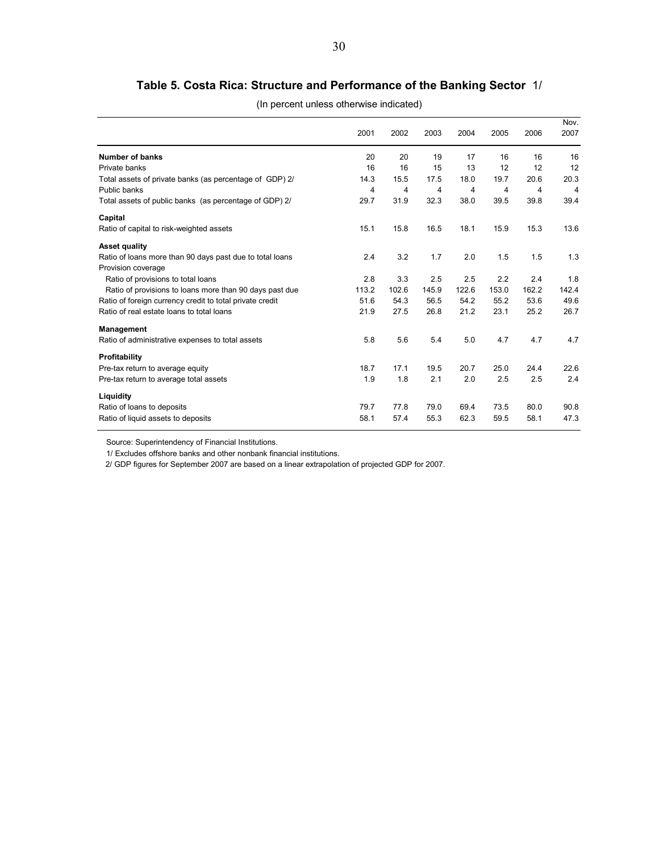# **Table 5. Costa Rica: Structure and Performance of the Banking Sector** 1/

| (In percent unless otherwise indicated) |  |  |
|-----------------------------------------|--|--|
|                                         |  |  |

|                                                                                | 2001  | 2002  | 2003  | 2004  | 2005  | 2006  | Nov.<br>2007 |
|--------------------------------------------------------------------------------|-------|-------|-------|-------|-------|-------|--------------|
| Number of banks                                                                | 20    | 20    | 19    | 17    | 16    | 16    | 16           |
| Private banks                                                                  | 16    | 16    | 15    | 13    | 12    | 12    | 12           |
| Total assets of private banks (as percentage of GDP) 2/                        | 14.3  | 15.5  | 17.5  | 18.0  | 19.7  | 20.6  | 20.3         |
| Public banks                                                                   | 4     | 4     | 4     | 4     | 4     | 4     | 4            |
| Total assets of public banks (as percentage of GDP) 2/                         | 29.7  | 31.9  | 32.3  | 38.0  | 39.5  | 39.8  | 39.4         |
| Capital                                                                        |       |       |       |       |       |       |              |
| Ratio of capital to risk-weighted assets                                       | 15.1  | 15.8  | 16.5  | 18.1  | 15.9  | 15.3  | 13.6         |
| <b>Asset quality</b>                                                           |       |       |       |       |       |       |              |
| Ratio of loans more than 90 days past due to total loans<br>Provision coverage | 2.4   | 3.2   | 1.7   | 2.0   | 1.5   | 1.5   | 1.3          |
| Ratio of provisions to total loans                                             | 2.8   | 3.3   | 2.5   | 2.5   | 2.2   | 2.4   | 1.8          |
| Ratio of provisions to loans more than 90 days past due                        | 113.2 | 102.6 | 145.9 | 122.6 | 153.0 | 162.2 | 142.4        |
| Ratio of foreign currency credit to total private credit                       | 51.6  | 54.3  | 56.5  | 54.2  | 55.2  | 53.6  | 49.6         |
| Ratio of real estate loans to total loans                                      | 21.9  | 27.5  | 26.8  | 21.2  | 23.1  | 25.2  | 26.7         |
| <b>Management</b>                                                              |       |       |       |       |       |       |              |
| Ratio of administrative expenses to total assets                               | 5.8   | 5.6   | 5.4   | 5.0   | 4.7   | 4.7   | 4.7          |
| Profitability                                                                  |       |       |       |       |       |       |              |
| Pre-tax return to average equity                                               | 18.7  | 17.1  | 19.5  | 20.7  | 25.0  | 24.4  | 22.6         |
| Pre-tax return to average total assets                                         | 1.9   | 1.8   | 2.1   | 2.0   | 2.5   | 2.5   | 2.4          |
| Liquidity                                                                      |       |       |       |       |       |       |              |
| Ratio of loans to deposits                                                     | 79.7  | 77.8  | 79.0  | 69.4  | 73.5  | 80.0  | 90.8         |
| Ratio of liquid assets to deposits                                             | 58.1  | 57.4  | 55.3  | 62.3  | 59.5  | 58.1  | 47.3         |

Source: Superintendency of Financial Institutions.

1/ Excludes offshore banks and other nonbank financial institutions.

2/ GDP figures for September 2007 are based on a linear extrapolation of projected GDP for 2007.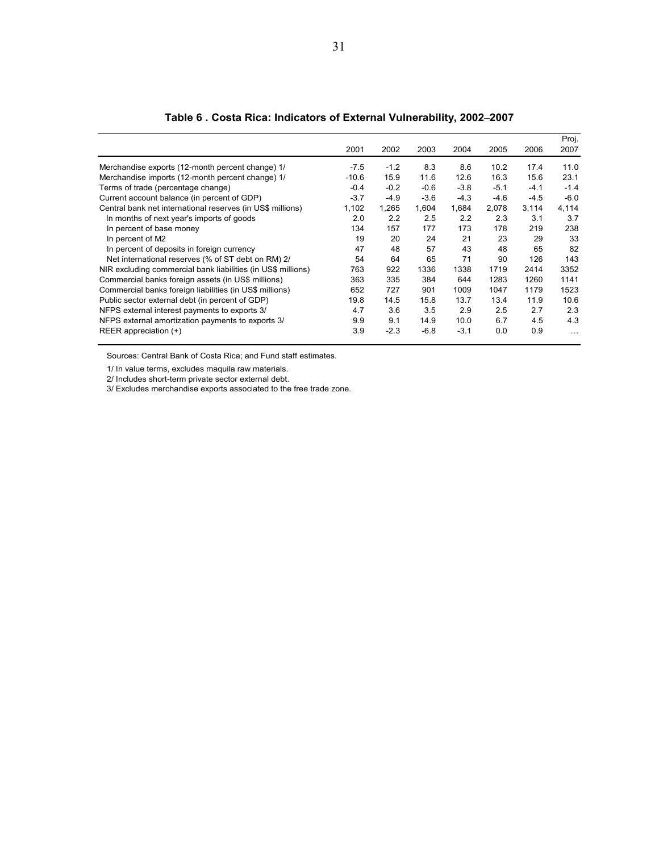|                                                              |         |        |        |        |        |        | Proj.    |
|--------------------------------------------------------------|---------|--------|--------|--------|--------|--------|----------|
|                                                              | 2001    | 2002   | 2003   | 2004   | 2005   | 2006   | 2007     |
| Merchandise exports (12-month percent change) 1/             | $-7.5$  | $-1.2$ | 8.3    | 8.6    | 10.2   | 17.4   | 11.0     |
| Merchandise imports (12-month percent change) 1/             | $-10.6$ | 15.9   | 11.6   | 12.6   | 16.3   | 15.6   | 23.1     |
| Terms of trade (percentage change)                           | $-0.4$  | $-0.2$ | $-0.6$ | $-3.8$ | $-5.1$ | $-4.1$ | $-1.4$   |
| Current account balance (in percent of GDP)                  | $-3.7$  | $-4.9$ | $-3.6$ | $-4.3$ | $-4.6$ | $-4.5$ | $-6.0$   |
| Central bank net international reserves (in US\$ millions)   | 1,102   | 1,265  | 1,604  | 1,684  | 2,078  | 3,114  | 4,114    |
| In months of next year's imports of goods                    | 2.0     | 2.2    | 2.5    | 2.2    | 2.3    | 3.1    | 3.7      |
| In percent of base money                                     | 134     | 157    | 177    | 173    | 178    | 219    | 238      |
| In percent of M2                                             | 19      | 20     | 24     | 21     | 23     | 29     | 33       |
| In percent of deposits in foreign currency                   | 47      | 48     | 57     | 43     | 48     | 65     | 82       |
| Net international reserves (% of ST debt on RM) 2/           | 54      | 64     | 65     | 71     | 90     | 126    | 143      |
| NIR excluding commercial bank liabilities (in US\$ millions) | 763     | 922    | 1336   | 1338   | 1719   | 2414   | 3352     |
| Commercial banks foreign assets (in US\$ millions)           | 363     | 335    | 384    | 644    | 1283   | 1260   | 1141     |
| Commercial banks foreign liabilities (in US\$ millions)      | 652     | 727    | 901    | 1009   | 1047   | 1179   | 1523     |
| Public sector external debt (in percent of GDP)              | 19.8    | 14.5   | 15.8   | 13.7   | 13.4   | 11.9   | 10.6     |
| NFPS external interest payments to exports 3/                | 4.7     | 3.6    | 3.5    | 2.9    | 2.5    | 2.7    | 2.3      |
| NFPS external amortization payments to exports 3/            | 9.9     | 9.1    | 14.9   | 10.0   | 6.7    | 4.5    | 4.3      |
| REER appreciation $(+)$                                      | 3.9     | $-2.3$ | $-6.8$ | $-3.1$ | 0.0    | 0.9    | $\cdots$ |

**Table 6 . Costa Rica: Indicators of External Vulnerability, 2002–2007**

Sources: Central Bank of Costa Rica; and Fund staff estimates.

1/ In value terms, excludes maquila raw materials.

2/ Includes short-term private sector external debt.

3/ Excludes merchandise exports associated to the free trade zone.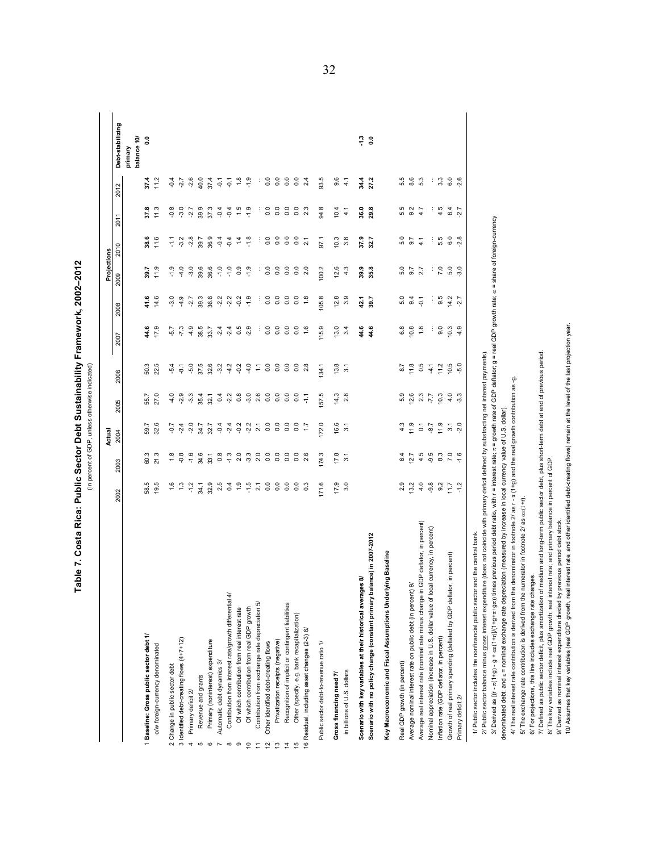Table 7. Costa Rica: Public Sector Debt Sustainability Framework, 2002-2012 **Table 7. Costa Rica: Public Sector Debt Sustainability Framework, 2002–2012** (In percent of GDP, unless otherwise indicated) (In percent of GDP, unless otherwise indicated)

|                                                                                                                                                                                                                       |                 |                      | Actual            |                |                         |                    |                | Projections    |                   |                    |                     |                        |
|-----------------------------------------------------------------------------------------------------------------------------------------------------------------------------------------------------------------------|-----------------|----------------------|-------------------|----------------|-------------------------|--------------------|----------------|----------------|-------------------|--------------------|---------------------|------------------------|
|                                                                                                                                                                                                                       | 2002            | 2003                 | 2004              | 2005           | 2006                    | 2007               | 2008           | 2009           | 2010              | 2011               | 2012                | Debt-stabilizing       |
|                                                                                                                                                                                                                       |                 |                      |                   |                |                         |                    |                |                |                   |                    |                     | balance 10/<br>primary |
| 1 Baseline: Gross public sector debt 1/                                                                                                                                                                               | 58.5            | 60.3                 | 59.7              |                | 50.3                    | 44.6               | 41.6           | 39.7           | 38.6              | 37.8               | 37.4                | $\ddot{\circ}$         |
| o/w foreign-currency denominated                                                                                                                                                                                      | 19.5            | 21.3                 | 32.6              | 55.7<br>27.0   | 22.5                    | 17.9               | 14.6           | 11.9           | 11.6              | 11.3               | 11.2                |                        |
| 2 Change in public sector debt                                                                                                                                                                                        |                 | 1.8                  | $-0.7$            | $-4.0$         | $-5.4$                  | $-5.7$             | $-3.0$         | $-1.9$         | 두                 | $-0.8$             | $-0.4$              |                        |
| 3 Identified debt-creating flows (4+7+12)                                                                                                                                                                             | $\frac{3}{2}$   | $-0.8$               | $-2.4$            | $-2.9$         | $-8.1$                  | $-7.3$             | $-4.9$         | $\frac{4}{3}$  | $-3.2$            | $-3.0$             | $-2.7$              |                        |
| Primary deficit 2/<br>4                                                                                                                                                                                               | $-1.2$          | $-1.6$               | $-2.0$            | $-3.3$         | $-5.0$                  | $-4.9$             | $-2.7$         | $-3.0$         | $-2.8$            | $-2.7$             | $-2.6$              |                        |
| Revenue and grants<br>Б                                                                                                                                                                                               | $\overline{34}$ | 34.6                 | 7 ж               | 35.4           | 37.5                    | 38.5               | 39.3           | 39.6           | 39.7              | 39.9               | 40.0                |                        |
| Primary (noninterest) expenditure<br>$\circ$                                                                                                                                                                          | 32.9            | 33.1                 | 32.7              | 32.1           | 32.6                    | 33.7               | 36.6           | 36.6           | 36.9              | 37.3               | 37.4                |                        |
| Automatic debt dynamics 3/<br>$\overline{ }$                                                                                                                                                                          | 2.5             | $_{\rm 0.8}^{\rm 8}$ | $-0.4$            | $\sigma$       | $-3.2$                  | $-2.4$             | $-2.2$         | $-1.0$         | $-0.4$            | $-0.4$             | $-0.1$              |                        |
| Contribution from interest rate/growth differential 4/<br>$\infty$                                                                                                                                                    | 0.4             | $-1.3$               | $-2.4$            | 2.2            | $-4.2$                  | $-2.4$             | $-2.2$         | $-1.0$         | $-0.4$            | $-0.4$             | $\overline{\Theta}$ |                        |
| Of which contribution from real interest rate<br>ၜ                                                                                                                                                                    | $\frac{5}{2}$   | 2.0                  | $-0.2$            | $\frac{8}{2}$  | $-0.2$                  | 0.5                | $-0.2$         | $\frac{8}{2}$  | $\dot{a}$         | $\frac{15}{2}$     | 1.8                 |                        |
| Of which contribution from real GDP growth<br>$\subseteq$                                                                                                                                                             | $-1.5$          | $-3.3$               | 2.2               | $-3.0$         | $-4.0$                  | $-2.9$             | $-1.9$         | $-1.9$         | $-1.8$            | $-1.9$             | $-1.9$              |                        |
| Contribution from exchange rate depreciation 5/                                                                                                                                                                       | $\overline{21}$ | 2.0                  | $\overline{21}$   | 2.6            | $\overline{\mathbb{Z}}$ |                    | ÷              | ÷              | ÷                 | Ĵ                  |                     |                        |
| Other identified debt-creating flows                                                                                                                                                                                  | $\overline{0}$  | $^{\circ}_{\circ}$   | $\overline{0}$ .  | 0.0            | $^{\circ}_{\circ}$      | $^{\circ}_{\circ}$ | 0.0            | $\overline{0}$ | $\overline{0}$ .  | $^{\circ}_{\circ}$ | $\overline{0}$ .    |                        |
| Privatization receipts (negative)<br>$\overline{\mathbf{c}}$                                                                                                                                                          | $\overline{0}$  | $^{\circ}_{\circ}$   | $\overline{0}$ .0 | 0.0            | $\rm ^{0}$              | 0.0                | 0.0            | $\rm ^{0}$     | $\overline{0}$ .0 | $\overline{0}$     | $\overline{0}$ .    |                        |
| Recognition of implicit or contingent liabilities                                                                                                                                                                     | $\overline{0}$  | $\overline{0}$       | 0.0               | $\overline{0}$ | $^{\circ}_{\circ}$      | $^{\circ}_{\circ}$ | 0.0            | 0.0            | $\rm ^{\circ}$    | $\overline{0}$     | $\overline{0}$ .0   |                        |
| Other (specify, e.g. bank recapitalization)<br>ပ                                                                                                                                                                      | $\overline{0}$  | $^{\circ}_{\circ}$   | 0.0               | 0.0            | 0.0                     | 0.0                | 0.0            | 0.0            | 0.0               | 0.0                | $\overline{0}$ .    |                        |
| 16 Residual, including asset changes (2-3) 6/                                                                                                                                                                         | $\frac{3}{2}$   | 2.6                  | Ξ                 | FT-            | 2.8                     | 1.6                | 1.8            | 2.0            | 21                | 2.3                | 2.4                 |                        |
| Public sector debt-to-revenue ratio 1/                                                                                                                                                                                | 171.6           | 174.3                | 172.0             | 57.5           | 34.1                    | 115.9              | 105.8          | 100.2          | 97.1              | 94.8               | 93.5                |                        |
| Gross financing need 7/                                                                                                                                                                                               | 17.9            | 17.8                 | 16.6              | 14.3           | 13.8                    | 13.0               | 12.8           | 12.6           | 10.3              | 10.4               | 9.6                 |                        |
| in billions of U.S. dollars                                                                                                                                                                                           | 3.0             | $\overline{3}$ .     | 3.1               | 2.8            | 3.1                     | 3.4                | 3.9            | 4.3            | 3.8               | 4,1                | 4.1                 |                        |
| Scenario with key variables at their historical averages 8/                                                                                                                                                           |                 |                      |                   |                |                         | 44.6               | 42.1           | 39.9           | 37.9              | 36.0               | 34.4                | $\ddot{ }$             |
| Scenario with no policy change (constant primary balance) in 2007-2012                                                                                                                                                |                 |                      |                   |                |                         | 44.6               | 39.7           | 35.8           | 32.7              | 29.8               | 27.2                | $\ddot{\circ}$         |
| Key Macroeconomic and Fiscal Assumptions Underlying Baseline                                                                                                                                                          |                 |                      |                   |                |                         |                    |                |                |                   |                    |                     |                        |
| Real GDP growth (in percent)                                                                                                                                                                                          | 2.9             | 6.4                  | 4.3               | 5.9            | 8.7                     | 6.8                | 5.0            | 5.0            | 5.0               | 5.5                | 5.5                 |                        |
| $\tilde{e}$<br>Average nominal interest rate on public debt (in percent)                                                                                                                                              | 13.2            | 12.7                 | 11.9              | 12.6           | 11.8                    | 10.8               | 9.4            | 9.7            | 9.7               | 9.2                | 8.6                 |                        |
| GDP deflator, in percent)<br>Average real interest rate (nominal rate minus change in                                                                                                                                 | 4.0             | 4.5                  | $\overline{c}$    | 2.3            | 0.5                     | 1.8                | $\overline{Q}$ | 2.7            | $\frac{1}{4}$     | 4.7                | 5.3                 |                        |
| Nominal appreciation (increase in U.S. dollar value of local currency, in percent)                                                                                                                                    | $-9.8$          | $-9.5$               | $-8.7$            | $1.7 -$        | $-4.1$                  |                    | ÷              | ÷              | ÷                 | ÷                  | ÷                   |                        |
| Inflation rate (GDP deflator, in percent)                                                                                                                                                                             | 9.2             | $_{\rm 8.3}$         | 11.9              | 10.3           | 11.2                    | 0.0                | 9.5            | 7.0            | 5.5               | 4.5                | $3.\overline{3}$    |                        |
| Growth of real primary spending (deflated by GDP deflator, in percent)                                                                                                                                                | 11.7            | $\overline{7.0}$     | $\overline{3}$ .  | 4.0            | 10.5                    | 10.3               | 14.2           | 5.0            | 6.0               | 6.4                | 6.0                 |                        |
| Primary deficit 2/                                                                                                                                                                                                    | $-1.2$          | $-1.6$               | $-2.0$            | $-3.3$         | $-5.0$                  | $-4.9$             | $-2.7$         | $-3.0$         | $-2.8$            | -2.7               | ဖ<br>Ņ              |                        |
| and the central bank.<br>1/ Public sector includes the nonfinancial public sector                                                                                                                                     |                 |                      |                   |                |                         |                    |                |                |                   |                    |                     |                        |
| 2/ Public sector balance minus gross interest expenditure (does not coincide with primary deficit defined by substracting net interest payments).                                                                     |                 |                      |                   |                |                         |                    |                |                |                   |                    |                     |                        |
| V Derived as [(r - π(1+g) - g + αε(1+r))/(1+er)r(1+er)r(1+gr); times previous period debt ratio, with r = interest rate; $\pi$ = growth rate of GDP deflator; g = real GDP growth rate; α = share of foreign-currency |                 |                      |                   |                |                         |                    |                |                |                   |                    |                     |                        |
| denominated debt; and $\varepsilon$ = nominal exchange rate depreciation (measured by increase in local currency value of U.S. dollar).                                                                               |                 |                      |                   |                |                         |                    |                |                |                   |                    |                     |                        |

4/ The real interest rate contribution is derived from the denominator in footnote 2/ as r - π (1+g) and the real growth contribution as -g.<br>5/ The exchange rate contribution is derived from the numerator in footnote 2/ a 4/ The real interest rate contribution is derived from the denominator in footnote 2/ as r - π (1+g) and the real growth contribution as -g.

5/ The exchange rate contribution is derived from the numerator in footnote 2/ as αε(1+r).

6/ For projections, this line includes exchange rate changes.

7/ Defined as public sector deficit, plus amoritzation of medium and long-term public sector debt, plus short-term debt at end of previous period.<br>8/ The key variables include real GDP growth; real interest rate; and prima 7/ Defined as public sector deficit, plus amortization of medium and long-term public sector debt, plus short-term debt at end of previous period.

8/ The key variables include real GDP growth; real interest rate; and primary balance in percent of GDP.

9/ Derived as nominal interest expenditure divided by previous period debt stock.

10/ Assumes that key variables (real GDP growth, real interest rate, and other identified debt-creating flows) remain at the level of the last projection year.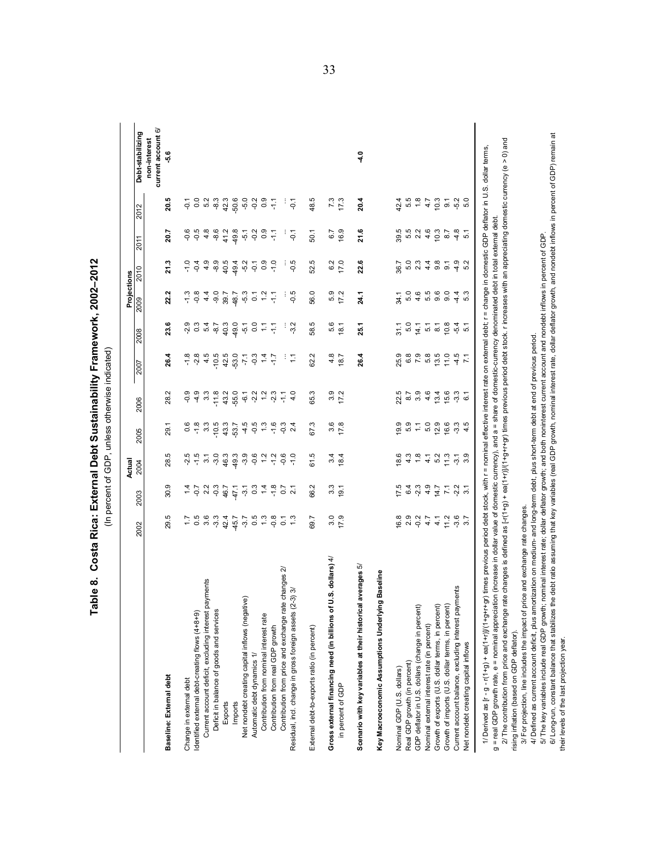Table 8. Costa Rica: External Debt Sustainability Framework, 2002-2012 **Table 8. Costa Rica: External Debt Sustainability Framework, 2002–2012** (In percent of GDP, unless otherwise indicated) (In percent of GDP, unless otherwise indicated)

| 29.5<br>2002<br>Baseline: External debt                                         | Actual<br>2004<br>2003                                                                                                                                    | 2005              |                                                                                                                      |                      |                                                                       | Projections                              |                  |                          |                    |                                    |
|---------------------------------------------------------------------------------|-----------------------------------------------------------------------------------------------------------------------------------------------------------|-------------------|----------------------------------------------------------------------------------------------------------------------|----------------------|-----------------------------------------------------------------------|------------------------------------------|------------------|--------------------------|--------------------|------------------------------------|
|                                                                                 |                                                                                                                                                           |                   | 2006                                                                                                                 | 2007                 | 2008                                                                  | 2009                                     | 2010             | 2011                     | 2012               | Debt-stabilizing                   |
|                                                                                 |                                                                                                                                                           |                   |                                                                                                                      |                      |                                                                       |                                          |                  |                          |                    | current account 6/<br>non-interest |
|                                                                                 | 30.9                                                                                                                                                      | 29.1<br>28.5      | 28.2                                                                                                                 | 26.4                 | 23.6                                                                  | 22.2                                     | 21.3             | 20.7                     | 20.5               | မှိ                                |
| ζĻ<br>Change in external debt                                                   |                                                                                                                                                           |                   | $-0.9$<br>0.6                                                                                                        | $-1.8$               | $-2.9$                                                                |                                          | $-1.0$           | $-0.6$                   | $\overline{Q}$     |                                    |
| Identified external debt-creating flows (4+8+9)                                 |                                                                                                                                                           | $-2.5$            | $-4.9$<br>$-1.8$                                                                                                     | $-2.8$               |                                                                       | $\begin{array}{c} 2 \ 1 \ 1 \end{array}$ | $-0.4$           | $-0.5$                   |                    |                                    |
| 5<br>0 3 3<br>0 3 3<br>Current account deficit, excluding interest payments     | 4522                                                                                                                                                      | $\overline{3}$    | 3.3<br>$3.\overline{3}$                                                                                              | 4.5                  | $0.3$<br>$0.4$<br>$0.7$                                               | 4.4                                      | 4.9              | 4.8                      | 0.0<br>5.2         |                                    |
| Deficit in balance of goods and services                                        |                                                                                                                                                           | $-10.5$<br>$-3.0$ | $-11.8$                                                                                                              | $-10.5$              |                                                                       | $-9.0$                                   | $-8.9$           | $-8.6$                   | $-8.3$             |                                    |
| 42.4<br>Exports                                                                 | 46.7<br>47.1                                                                                                                                              | 43.3<br>46.3      | 43.2                                                                                                                 | 42.5                 | 40.3                                                                  | 39.7                                     | 40.5             | 41.2                     | 42.3               |                                    |
| $-45.7$<br>Imports                                                              |                                                                                                                                                           | 53.7<br>49.3      | -55.0                                                                                                                | $-53.0$              | 49.0                                                                  | 48.7                                     | 49.4             | 49.8                     | $-50.6$            |                                    |
| $-3.7$<br>Net nondebt creating capital inflows (negative)                       |                                                                                                                                                           | $-3.9$            | $-4.5$                                                                                                               | $\mathcal{L}I$       | $\frac{1}{2}$ $\frac{1}{2}$ $\frac{1}{2}$ $\frac{1}{2}$ $\frac{1}{2}$ | $-5.3$                                   | $-5.2$           | $-5.1$                   | $-5.0$             |                                    |
| 0.5<br>Automatic debt dynamics 1/                                               |                                                                                                                                                           | $-0.6$            | $6.1$<br>$-2.2$<br>$-0.5$                                                                                            | $-0.3$               |                                                                       | $\overline{c}$                           | $-0.1$           |                          | $-0.2$             |                                    |
| Contribution from nominal interest rate                                         |                                                                                                                                                           | 1.2               |                                                                                                                      | 1.4                  |                                                                       | $\frac{2}{1}$                            |                  | $0.2$<br>$0.5$<br>$-1.7$ | 0.9                |                                    |
| $\begin{array}{c} 7.3 \\ -0.8 \end{array}$<br>Contribution from real GDP growth | $\frac{1}{2}$ $\frac{3}{2}$ $\frac{4}{2}$ $\frac{3}{2}$ $\frac{4}{2}$ $\frac{3}{2}$ $\frac{5}{2}$ $\frac{7}{2}$ $\frac{8}{2}$ $\frac{7}{2}$ $\frac{7}{2}$ | $-1.2$            | $1.2$<br>$-2.3$<br>$\frac{1}{2}$ $\frac{1}{2}$ $\frac{1}{2}$ $\frac{1}{2}$ $\frac{1}{2}$ $\frac{1}{2}$ $\frac{1}{2}$ | ۲J-                  |                                                                       |                                          | 0.9              |                          |                    |                                    |
| $-1.3$<br>changes 2/<br>Contribution from price and exchange rate               |                                                                                                                                                           | $-0.6$            | 두                                                                                                                    |                      | ÷                                                                     |                                          |                  |                          |                    |                                    |
| 3)3/<br>Residual, incl. change in gross foreign assets (2-                      |                                                                                                                                                           | $-1.0$            |                                                                                                                      | $\frac{1}{2}$<br>4.0 | $-3.2$                                                                | $-0.5$                                   | $-0.5$           | $-0.1$                   | $\overline{Q}$     |                                    |
| 69.7<br>External debt-to-exports ratio (in percent)                             | 66.2                                                                                                                                                      | 61.5              | 65.3<br>67.3                                                                                                         | 62.2                 | 58.5                                                                  | 56.0                                     | 52.5             | 50.1                     | 48.5               |                                    |
| 3.0<br>.S. dollars) $4/$<br>Gross external financing need (in billions of U     | $3.\overline{3}$                                                                                                                                          | 3.4               | 3.6                                                                                                                  | 4.8<br>3.9           | 5.6                                                                   | 5.9                                      | 6.2              | 6.7                      | 7.3                |                                    |
| 17.9<br>in percent of GDP                                                       | 19.1                                                                                                                                                      | 18.4              | 17.2<br>17.8                                                                                                         | 18.7                 | 18.1                                                                  | 17.2                                     | 17.0             | 16.9                     | 17.3               |                                    |
| averages 5/<br>Scenario with key variables at their historical                  |                                                                                                                                                           |                   |                                                                                                                      | 26.4                 | 25.1                                                                  | 24.1                                     | 22.6             | 21.6                     | 20.4               | $\frac{1}{4}$                      |
| Baseline<br>Key Macroeconomic Assumptions Underlying                            |                                                                                                                                                           |                   |                                                                                                                      |                      |                                                                       |                                          |                  |                          |                    |                                    |
| 16.8<br>Nominal GDP (U.S. dollars)                                              | 17.5                                                                                                                                                      | 18.6              | 22.5<br>19.9                                                                                                         | 25.9                 |                                                                       | 34.1                                     | 36.7             | 39.5                     | 42.4               |                                    |
| Real GDP growth (in percent)                                                    | 6.4                                                                                                                                                       | 4.3               | 5.9                                                                                                                  | 6.8<br>8.7           | $31.1$<br>$5.0$                                                       | 5.0                                      | 5.0              | 5.5                      | 5.5                |                                    |
| GDP deflator in U.S. dollars (change in percent)                                | $-2.3$                                                                                                                                                    | $\frac{8}{1}$     | Ξ                                                                                                                    | 7.9<br>3.9           |                                                                       | 4.6                                      | 2.3              | $2.\overline{2}$<br>4.6  | $1.8$              |                                    |
| Nominal external interest rate (in percent)                                     | 4.9                                                                                                                                                       | 4.1               | 5.0                                                                                                                  | 5.8<br>4.6           |                                                                       | 5.5                                      | 4.4              |                          | 4.7                |                                    |
| $30277$<br>$477$<br>Growth of exports (U.S. dollar terms, in percent)           |                                                                                                                                                           | 5.2               | 13.4<br>12.9                                                                                                         | 13.5                 | $7.7$<br>$6.7$<br>$8.7$                                               | 9.6                                      | 9.8              | 10.3                     | 10.3               |                                    |
| 11.2<br>Growth of imports (U.S. dollar terms, in percent)                       | 7.7                                                                                                                                                       | 11.3              | 15.6<br>16.6                                                                                                         | 11.0                 | 10.8                                                                  | 9.0                                      | $\overline{9}$ . | 8.7                      | $\overline{\circ}$ |                                    |
| $-3.7$<br>nents<br>Current account balance, excluding interest paym             | $-2, 7$                                                                                                                                                   | $-3.1$            | $-3.3$<br>$-3.3$                                                                                                     | 4.5                  | $-5.4$                                                                | 4.4                                      | $-4.9$           | $-4.8$                   | $-5.0$             |                                    |
| Net nondebt creating capital inflows                                            |                                                                                                                                                           | 3.9               | $\tilde{\circ}$<br>4.5                                                                                               | $\overline{71}$      | 5.1                                                                   | 5.3                                      | 5.2              | $\overline{5}$           |                    |                                    |

2/ The contribution from price and exchange rate changes is defined as [-r(1+g) + ea(1+r)]/(1+g+r+gr) times previous period debt stock. r increases with an appreciating domestic currency (e > 0) and<br>rising inflation (base  $2l$  The contribution from price and exchange rate changes is defined as  $[-(1+q)]$  +  $\frac{1}{2}$  +  $\frac{1}{2}$  +  $\frac{1}{2}$  +  $\frac{1}{2}$  +  $\frac{1}{2}$  +  $\frac{1}{2}$  +  $\frac{1}{2}$  +  $\frac{1}{2}$  +  $\frac{1}{2}$  +  $\frac{1}{2}$  and exchange rate c rising inflation (based on GDP deflator).

3/ For projection, line includes the impact of price and exchange rate changes. 3/ For projection, line includes the impact of price and exchange rate changes.

4/ Defined as current account deficit, plus amortization on medium- and long-term debt, plus short-term debt at end of previous period.

5/ The key variables include real GDP growth; nominal interest rate; dollar deflator growth; and both noninterest current account and nondebt inflows in percent of GDP. 6/ Long-run, constant balance that stabilizes the debt ratio assuming that key variables (real GDP growth, and nondebt inflows in percent of GDP) remain at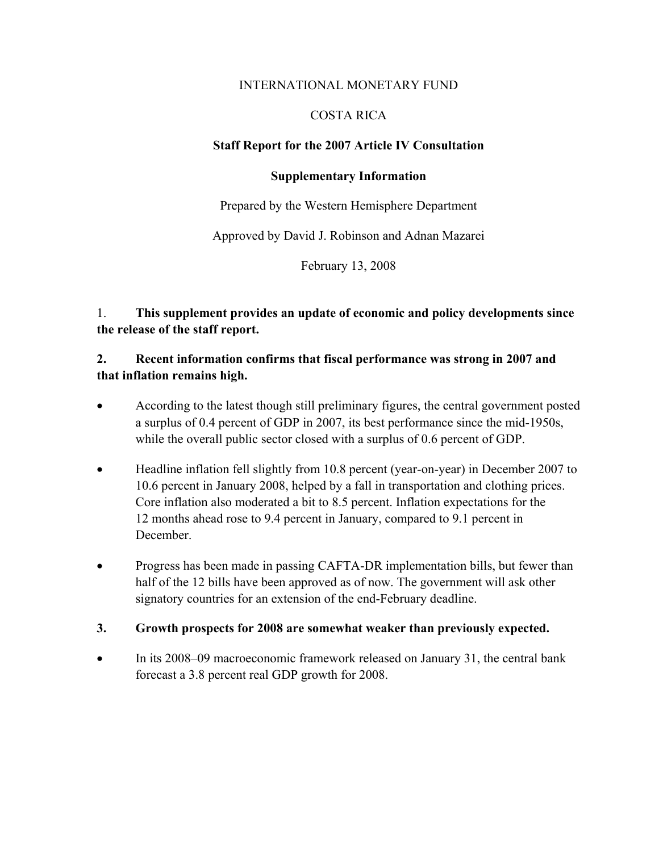### INTERNATIONAL MONETARY FUND

# COSTA RICA

# **Staff Report for the 2007 Article IV Consultation**

### **Supplementary Information**

Prepared by the Western Hemisphere Department

Approved by David J. Robinson and Adnan Mazarei

February 13, 2008

1. **This supplement provides an update of economic and policy developments since the release of the staff report.**

# **2. Recent information confirms that fiscal performance was strong in 2007 and that inflation remains high.**

- According to the latest though still preliminary figures, the central government posted a surplus of 0.4 percent of GDP in 2007, its best performance since the mid-1950s, while the overall public sector closed with a surplus of 0.6 percent of GDP.
- Headline inflation fell slightly from 10.8 percent (year-on-year) in December 2007 to 10.6 percent in January 2008, helped by a fall in transportation and clothing prices. Core inflation also moderated a bit to 8.5 percent. Inflation expectations for the 12 months ahead rose to 9.4 percent in January, compared to 9.1 percent in December.
- Progress has been made in passing CAFTA-DR implementation bills, but fewer than half of the 12 bills have been approved as of now. The government will ask other signatory countries for an extension of the end-February deadline.

# **3. Growth prospects for 2008 are somewhat weaker than previously expected.**

• In its 2008–09 macroeconomic framework released on January 31, the central bank forecast a 3.8 percent real GDP growth for 2008.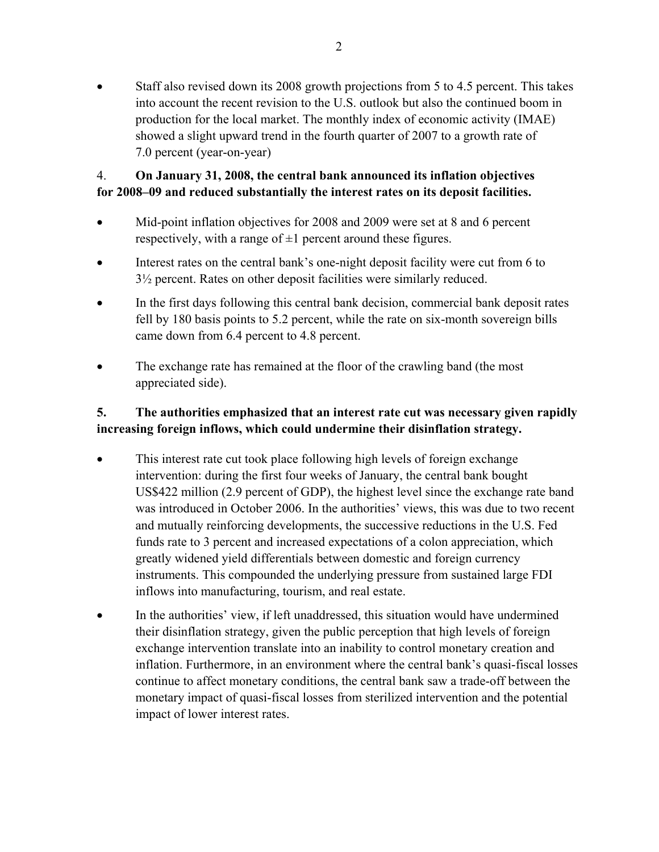• Staff also revised down its 2008 growth projections from 5 to 4.5 percent. This takes into account the recent revision to the U.S. outlook but also the continued boom in production for the local market. The monthly index of economic activity (IMAE) showed a slight upward trend in the fourth quarter of 2007 to a growth rate of 7.0 percent (year-on-year)

# 4. **On January 31, 2008, the central bank announced its inflation objectives for 2008–09 and reduced substantially the interest rates on its deposit facilities.**

- Mid-point inflation objectives for 2008 and 2009 were set at 8 and 6 percent respectively, with a range of  $\pm 1$  percent around these figures.
- Interest rates on the central bank's one-night deposit facility were cut from 6 to 3½ percent. Rates on other deposit facilities were similarly reduced.
- In the first days following this central bank decision, commercial bank deposit rates fell by 180 basis points to 5.2 percent, while the rate on six-month sovereign bills came down from 6.4 percent to 4.8 percent.
- The exchange rate has remained at the floor of the crawling band (the most appreciated side).

# **5. The authorities emphasized that an interest rate cut was necessary given rapidly increasing foreign inflows, which could undermine their disinflation strategy.**

- This interest rate cut took place following high levels of foreign exchange intervention: during the first four weeks of January, the central bank bought US\$422 million (2.9 percent of GDP), the highest level since the exchange rate band was introduced in October 2006. In the authorities' views, this was due to two recent and mutually reinforcing developments, the successive reductions in the U.S. Fed funds rate to 3 percent and increased expectations of a colon appreciation, which greatly widened yield differentials between domestic and foreign currency instruments. This compounded the underlying pressure from sustained large FDI inflows into manufacturing, tourism, and real estate.
- In the authorities' view, if left unaddressed, this situation would have undermined their disinflation strategy, given the public perception that high levels of foreign exchange intervention translate into an inability to control monetary creation and inflation. Furthermore, in an environment where the central bank's quasi-fiscal losses continue to affect monetary conditions, the central bank saw a trade-off between the monetary impact of quasi-fiscal losses from sterilized intervention and the potential impact of lower interest rates.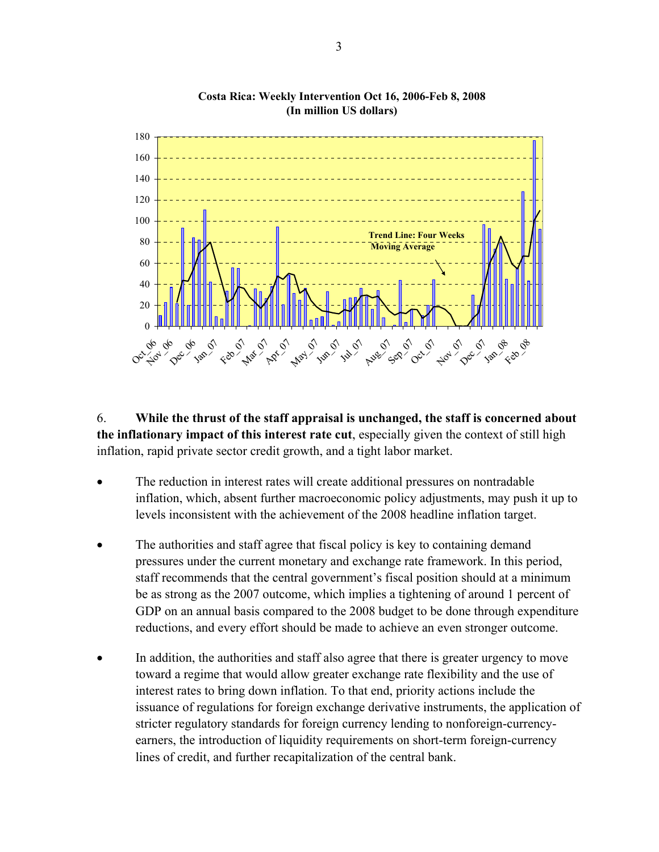

**Costa Rica: Weekly Intervention Oct 16, 2006-Feb 8, 2008 (In million US dollars)**

6. **While the thrust of the staff appraisal is unchanged, the staff is concerned about the inflationary impact of this interest rate cut**, especially given the context of still high inflation, rapid private sector credit growth, and a tight labor market.

- The reduction in interest rates will create additional pressures on nontradable inflation, which, absent further macroeconomic policy adjustments, may push it up to levels inconsistent with the achievement of the 2008 headline inflation target.
- The authorities and staff agree that fiscal policy is key to containing demand pressures under the current monetary and exchange rate framework. In this period, staff recommends that the central government's fiscal position should at a minimum be as strong as the 2007 outcome, which implies a tightening of around 1 percent of GDP on an annual basis compared to the 2008 budget to be done through expenditure reductions, and every effort should be made to achieve an even stronger outcome.
- In addition, the authorities and staff also agree that there is greater urgency to move toward a regime that would allow greater exchange rate flexibility and the use of interest rates to bring down inflation. To that end, priority actions include the issuance of regulations for foreign exchange derivative instruments, the application of stricter regulatory standards for foreign currency lending to nonforeign-currencyearners, the introduction of liquidity requirements on short-term foreign-currency lines of credit, and further recapitalization of the central bank.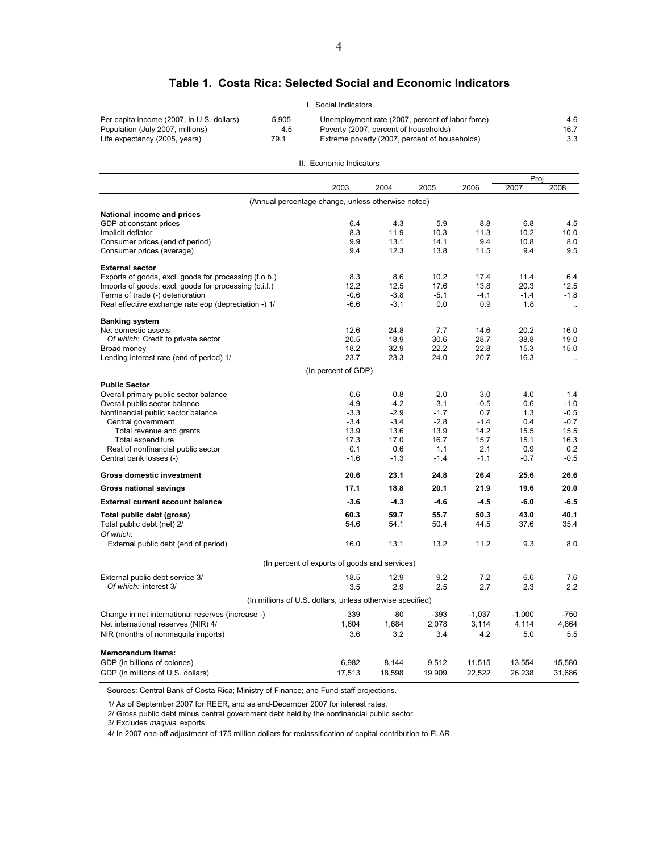#### **Table 1. Costa Rica: Selected Social and Economic Indicators**

|                                           |       | l. Social Indicators                             |      |
|-------------------------------------------|-------|--------------------------------------------------|------|
| Per capita income (2007, in U.S. dollars) | 5.905 | Unemployment rate (2007, percent of labor force) | 4.6  |
| Population (July 2007, millions)          | 4.5   | Poverty (2007, percent of households)            | 16.7 |
| Life expectancy (2005, years)             | 79.1  | Extreme poverty (2007, percent of households)    | 3.3  |

#### II. Economic Indicators

|                                                       |                                                           |        |        |          | Proj     |           |
|-------------------------------------------------------|-----------------------------------------------------------|--------|--------|----------|----------|-----------|
|                                                       | 2003                                                      | 2004   | 2005   | 2006     | 2007     | 2008      |
|                                                       | (Annual percentage change, unless otherwise noted)        |        |        |          |          |           |
| National income and prices                            |                                                           |        |        |          |          |           |
| GDP at constant prices                                | 6.4                                                       | 4.3    | 5.9    | 8.8      | 6.8      | 4.5       |
| Implicit deflator                                     | 8.3                                                       | 11.9   | 10.3   | 11.3     | 10.2     | 10.0      |
| Consumer prices (end of period)                       | 9.9                                                       | 13.1   | 14.1   | 9.4      | 10.8     | 8.0       |
| Consumer prices (average)                             | 9.4                                                       | 12.3   | 13.8   | 11.5     | 9.4      | 9.5       |
| <b>External sector</b>                                |                                                           |        |        |          |          |           |
| Exports of goods, excl. goods for processing (f.o.b.) | 8.3                                                       | 8.6    | 10.2   | 17.4     | 11.4     | 6.4       |
| Imports of goods, excl. goods for processing (c.i.f.) | 12.2                                                      | 12.5   | 17.6   | 13.8     | 20.3     | 12.5      |
| Terms of trade (-) deterioration                      | -0.6                                                      | $-3.8$ | $-5.1$ | $-4.1$   | $-1.4$   | $-1.8$    |
| Real effective exchange rate eop (depreciation -) 1/  | $-6.6$                                                    | $-3.1$ | 0.0    | 0.9      | 1.8      | $\ldots$  |
| <b>Banking system</b>                                 |                                                           |        |        |          |          |           |
| Net domestic assets                                   | 12.6                                                      | 24.8   | 7.7    | 14.6     | 20.2     | 16.0      |
| Of which: Credit to private sector                    | 20.5                                                      | 18.9   | 30.6   | 28.7     | 38.8     | 19.0      |
| Broad money                                           | 18.2                                                      | 32.9   | 22.2   | 22.8     | 15.3     | 15.0      |
| Lending interest rate (end of period) 1/              | 23.7                                                      | 23.3   | 24.0   | 20.7     | 16.3     | $\ddotsc$ |
|                                                       | (In percent of GDP)                                       |        |        |          |          |           |
| <b>Public Sector</b>                                  |                                                           |        |        |          |          |           |
| Overall primary public sector balance                 | 0.6                                                       | 0.8    | 2.0    | 3.0      | 4.0      | 1.4       |
| Overall public sector balance                         | $-4.9$                                                    | $-4.2$ | $-3.1$ | $-0.5$   | 0.6      | $-1.0$    |
| Nonfinancial public sector balance                    | $-3.3$                                                    | $-2.9$ | $-1.7$ | 0.7      | 1.3      | $-0.5$    |
| Central government                                    | $-3.4$                                                    | $-3.4$ | $-2.8$ | $-1.4$   | 0.4      | $-0.7$    |
| Total revenue and grants                              | 13.9                                                      | 13.6   | 13.9   | 14.2     | 15.5     | 15.5      |
| Total expenditure                                     | 17.3                                                      | 17.0   | 16.7   | 15.7     | 15.1     | 16.3      |
| Rest of nonfinancial public sector                    | 0.1                                                       | 0.6    | 1.1    | 2.1      | 0.9      | 0.2       |
| Central bank losses (-)                               | $-1.6$                                                    | $-1.3$ | $-1.4$ | $-1.1$   | $-0.7$   | $-0.5$    |
| <b>Gross domestic investment</b>                      | 20.6                                                      | 23.1   | 24.8   | 26.4     | 25.6     | 26.6      |
| <b>Gross national savings</b>                         | 17.1                                                      | 18.8   | 20.1   | 21.9     | 19.6     | 20.0      |
| <b>External current account balance</b>               | $-3.6$                                                    | $-4.3$ | $-4.6$ | $-4.5$   | $-6.0$   | $-6.5$    |
| Total public debt (gross)                             | 60.3                                                      | 59.7   | 55.7   | 50.3     | 43.0     | 40.1      |
| Total public debt (net) 2/                            | 54.6                                                      | 54.1   | 50.4   | 44.5     | 37.6     | 35.4      |
| Of which:                                             |                                                           |        | 13.2   | 11.2     | 9.3      |           |
| External public debt (end of period)                  | 16.0                                                      | 13.1   |        |          |          | 8.0       |
|                                                       | (In percent of exports of goods and services)             |        |        |          |          |           |
| External public debt service 3/                       | 18.5                                                      | 12.9   | 9.2    | 7.2      | 6.6      | 7.6       |
| Of which: interest 3/                                 | 3.5                                                       | 2.9    | 2.5    | 2.7      | 2.3      | 2.2       |
|                                                       | (In millions of U.S. dollars, unless otherwise specified) |        |        |          |          |           |
| Change in net international reserves (increase -)     | $-339$                                                    | -80    | $-393$ | $-1,037$ | $-1,000$ | $-750$    |
| Net international reserves (NIR) 4/                   | 1,604                                                     | 1,684  | 2,078  | 3,114    | 4,114    | 4,864     |
| NIR (months of nonmaquila imports)                    | 3.6                                                       | 3.2    | 3.4    | 4.2      | 5.0      | 5.5       |
| <b>Memorandum items:</b>                              |                                                           |        |        |          |          |           |
| GDP (in billions of colones)                          | 6,982                                                     | 8,144  | 9,512  | 11,515   | 13,554   | 15,580    |
| GDP (in millions of U.S. dollars)                     | 17,513                                                    | 18,598 | 19,909 | 22,522   | 26,238   | 31,686    |
|                                                       |                                                           |        |        |          |          |           |

Sources: Central Bank of Costa Rica; Ministry of Finance; and Fund staff projections.

1/ As of September 2007 for REER, and as end-December 2007 for interest rates.

2/ Gross public debt minus central government debt held by the nonfinancial public sector.

3/ Excludes *maquila* exports.

4/ In 2007 one-off adjustment of 175 million dollars for reclassification of capital contribution to FLAR.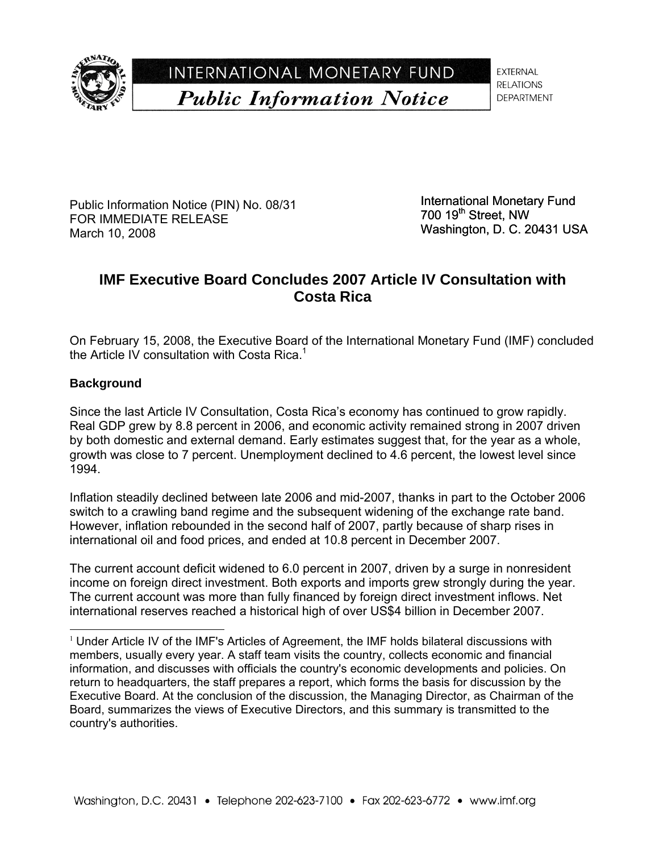

INTERNATIONAL MONETARY FUND **Public Information Notice** 

**EXTERNAL RELATIONS DEPARTMENT** 

Public Information Notice (PIN) No. 08/31 FOR IMMEDIATE RELEASE March 10, 2008

International Monetary Fund  $700$  19<sup>th</sup> Street, NW Washington, D. C. 20431 USA

# **IMF Executive Board Concludes 2007 Article IV Consultation with Costa Rica**

On February 15, 2008, the Executive Board of the International Monetary Fund (IMF) concluded the Article IV consultation with Costa Rica.<sup>1</sup>

# **Background**

l

Since the last Article IV Consultation, Costa Rica's economy has continued to grow rapidly. Real GDP grew by 8.8 percent in 2006, and economic activity remained strong in 2007 driven by both domestic and external demand. Early estimates suggest that, for the year as a whole, growth was close to 7 percent. Unemployment declined to 4.6 percent, the lowest level since 1994.

Inflation steadily declined between late 2006 and mid-2007, thanks in part to the October 2006 switch to a crawling band regime and the subsequent widening of the exchange rate band. However, inflation rebounded in the second half of 2007, partly because of sharp rises in international oil and food prices, and ended at 10.8 percent in December 2007.

The current account deficit widened to 6.0 percent in 2007, driven by a surge in nonresident income on foreign direct investment. Both exports and imports grew strongly during the year. The current account was more than fully financed by foreign direct investment inflows. Net international reserves reached a historical high of over US\$4 billion in December 2007.

 $1$  Under Article IV of the IMF's Articles of Agreement, the IMF holds bilateral discussions with members, usually every year. A staff team visits the country, collects economic and financial information, and discusses with officials the country's economic developments and policies. On return to headquarters, the staff prepares a report, which forms the basis for discussion by the Executive Board. At the conclusion of the discussion, the Managing Director, as Chairman of the Board, summarizes the views of Executive Directors, and this summary is transmitted to the country's authorities.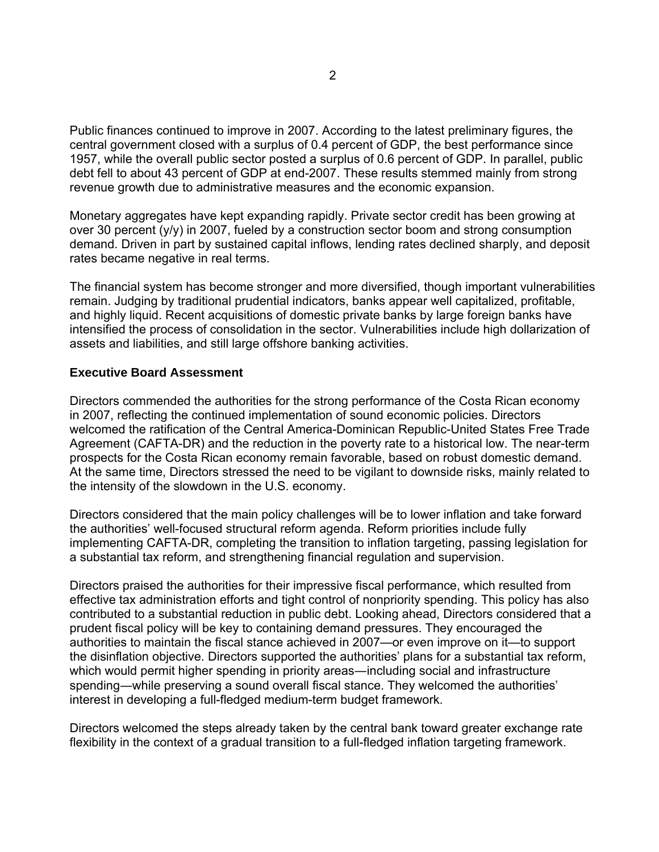Public finances continued to improve in 2007. According to the latest preliminary figures, the central government closed with a surplus of 0.4 percent of GDP, the best performance since 1957, while the overall public sector posted a surplus of 0.6 percent of GDP. In parallel, public debt fell to about 43 percent of GDP at end-2007. These results stemmed mainly from strong revenue growth due to administrative measures and the economic expansion.

Monetary aggregates have kept expanding rapidly. Private sector credit has been growing at over 30 percent (y/y) in 2007, fueled by a construction sector boom and strong consumption demand. Driven in part by sustained capital inflows, lending rates declined sharply, and deposit rates became negative in real terms.

The financial system has become stronger and more diversified, though important vulnerabilities remain. Judging by traditional prudential indicators, banks appear well capitalized, profitable, and highly liquid. Recent acquisitions of domestic private banks by large foreign banks have intensified the process of consolidation in the sector. Vulnerabilities include high dollarization of assets and liabilities, and still large offshore banking activities.

### **Executive Board Assessment**

Directors commended the authorities for the strong performance of the Costa Rican economy in 2007, reflecting the continued implementation of sound economic policies. Directors welcomed the ratification of the Central America-Dominican Republic-United States Free Trade Agreement (CAFTA-DR) and the reduction in the poverty rate to a historical low. The near-term prospects for the Costa Rican economy remain favorable, based on robust domestic demand. At the same time, Directors stressed the need to be vigilant to downside risks, mainly related to the intensity of the slowdown in the U.S. economy.

Directors considered that the main policy challenges will be to lower inflation and take forward the authorities' well-focused structural reform agenda. Reform priorities include fully implementing CAFTA-DR, completing the transition to inflation targeting, passing legislation for a substantial tax reform, and strengthening financial regulation and supervision.

Directors praised the authorities for their impressive fiscal performance, which resulted from effective tax administration efforts and tight control of nonpriority spending. This policy has also contributed to a substantial reduction in public debt. Looking ahead, Directors considered that a prudent fiscal policy will be key to containing demand pressures. They encouraged the authorities to maintain the fiscal stance achieved in 2007—or even improve on it—to support the disinflation objective. Directors supported the authorities' plans for a substantial tax reform, which would permit higher spending in priority areas—including social and infrastructure spending―while preserving a sound overall fiscal stance. They welcomed the authorities' interest in developing a full-fledged medium-term budget framework.

Directors welcomed the steps already taken by the central bank toward greater exchange rate flexibility in the context of a gradual transition to a full-fledged inflation targeting framework.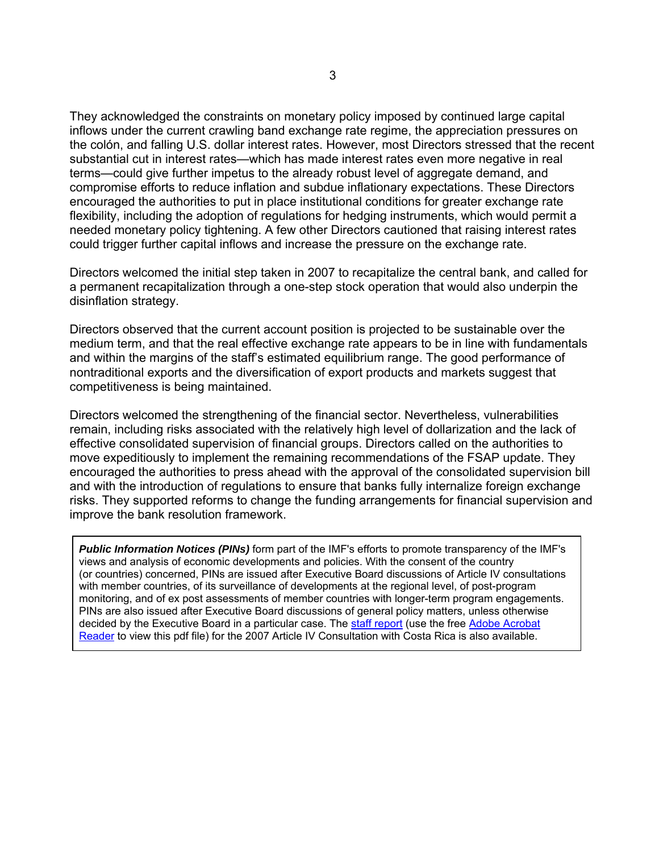They acknowledged the constraints on monetary policy imposed by continued large capital inflows under the current crawling band exchange rate regime, the appreciation pressures on the colón, and falling U.S. dollar interest rates. However, most Directors stressed that the recent substantial cut in interest rates—which has made interest rates even more negative in real terms—could give further impetus to the already robust level of aggregate demand, and compromise efforts to reduce inflation and subdue inflationary expectations. These Directors encouraged the authorities to put in place institutional conditions for greater exchange rate flexibility, including the adoption of regulations for hedging instruments, which would permit a needed monetary policy tightening. A few other Directors cautioned that raising interest rates could trigger further capital inflows and increase the pressure on the exchange rate.

Directors welcomed the initial step taken in 2007 to recapitalize the central bank, and called for a permanent recapitalization through a one-step stock operation that would also underpin the disinflation strategy.

Directors observed that the current account position is projected to be sustainable over the medium term, and that the real effective exchange rate appears to be in line with fundamentals and within the margins of the staff's estimated equilibrium range. The good performance of nontraditional exports and the diversification of export products and markets suggest that competitiveness is being maintained.

Directors welcomed the strengthening of the financial sector. Nevertheless, vulnerabilities remain, including risks associated with the relatively high level of dollarization and the lack of effective consolidated supervision of financial groups. Directors called on the authorities to move expeditiously to implement the remaining recommendations of the FSAP update. They encouraged the authorities to press ahead with the approval of the consolidated supervision bill and with the introduction of regulations to ensure that banks fully internalize foreign exchange risks. They supported reforms to change the funding arrangements for financial supervision and improve the bank resolution framework.

*Public Information Notices (PINs)* form part of the IMF's efforts to promote transparency of the IMF's views and analysis of economic developments and policies. With the consent of the country (or countries) concerned, PINs are issued after Executive Board discussions of Article IV consultations with member countries, of its surveillance of developments at the regional level, of post-program monitoring, and of ex post assessments of member countries with longer-term program engagements. PINs are also issued after Executive Board discussions of general policy matters, unless otherwise decided by the Executive Board in a particular case. The staff report (use the free Adobe Acrobat Reader to view this pdf file) for the 2007 Article IV Consultation with Costa Rica is also available.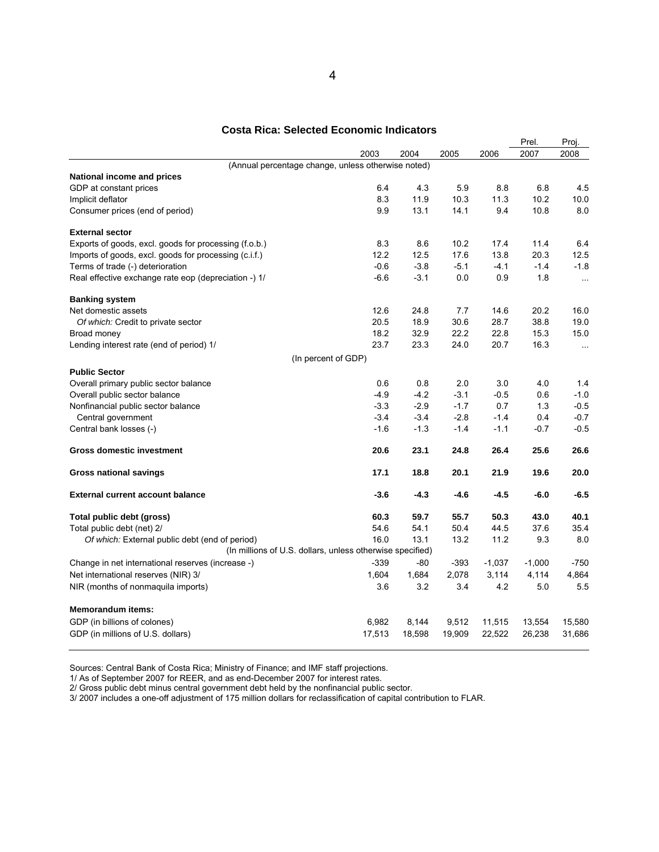#### **Costa Rica: Selected Economic Indicators**

|                                                                                                             |        |        |        |          | Prel.    | Proj.     |
|-------------------------------------------------------------------------------------------------------------|--------|--------|--------|----------|----------|-----------|
|                                                                                                             | 2003   | 2004   | 2005   | 2006     | 2007     | 2008      |
| (Annual percentage change, unless otherwise noted)                                                          |        |        |        |          |          |           |
| National income and prices                                                                                  |        |        |        |          |          |           |
| GDP at constant prices                                                                                      | 6.4    | 4.3    | 5.9    | 8.8      | 6.8      | 4.5       |
| Implicit deflator                                                                                           | 8.3    | 11.9   | 10.3   | 11.3     | 10.2     | 10.0      |
| Consumer prices (end of period)                                                                             | 9.9    | 13.1   | 14.1   | 9.4      | 10.8     | 8.0       |
| <b>External sector</b>                                                                                      |        |        |        |          |          |           |
| Exports of goods, excl. goods for processing (f.o.b.)                                                       | 8.3    | 8.6    | 10.2   | 17.4     | 11.4     | 6.4       |
| Imports of goods, excl. goods for processing (c.i.f.)                                                       | 12.2   | 12.5   | 17.6   | 13.8     | 20.3     | 12.5      |
| Terms of trade (-) deterioration                                                                            | $-0.6$ | $-3.8$ | $-5.1$ | $-4.1$   | $-1.4$   | $-1.8$    |
| Real effective exchange rate eop (depreciation -) 1/                                                        | $-6.6$ | $-3.1$ | 0.0    | 0.9      | 1.8      | $\ddotsc$ |
| <b>Banking system</b>                                                                                       |        |        |        |          |          |           |
| Net domestic assets                                                                                         | 12.6   | 24.8   | 7.7    | 14.6     | 20.2     | 16.0      |
| Of which: Credit to private sector                                                                          | 20.5   | 18.9   | 30.6   | 28.7     | 38.8     | 19.0      |
| Broad money                                                                                                 | 18.2   | 32.9   | 22.2   | 22.8     | 15.3     | 15.0      |
| Lending interest rate (end of period) 1/                                                                    | 23.7   | 23.3   | 24.0   | 20.7     | 16.3     | $\ldots$  |
| (In percent of GDP)                                                                                         |        |        |        |          |          |           |
| <b>Public Sector</b>                                                                                        |        |        |        |          |          |           |
| Overall primary public sector balance                                                                       | 0.6    | 0.8    | 2.0    | 3.0      | 4.0      | 1.4       |
| Overall public sector balance                                                                               | $-4.9$ | $-4.2$ | $-3.1$ | $-0.5$   | 0.6      | $-1.0$    |
| Nonfinancial public sector balance                                                                          | $-3.3$ | $-2.9$ | $-1.7$ | 0.7      | 1.3      | $-0.5$    |
| Central government                                                                                          | $-3.4$ | $-3.4$ | $-2.8$ | $-1.4$   | 0.4      | $-0.7$    |
| Central bank losses (-)                                                                                     | $-1.6$ | $-1.3$ | $-1.4$ | $-1.1$   | $-0.7$   | $-0.5$    |
| <b>Gross domestic investment</b>                                                                            | 20.6   | 23.1   | 24.8   | 26.4     | 25.6     | 26.6      |
| <b>Gross national savings</b>                                                                               | 17.1   | 18.8   | 20.1   | 21.9     | 19.6     | 20.0      |
| <b>External current account balance</b>                                                                     | -3.6   | $-4.3$ | $-4.6$ | $-4.5$   | $-6.0$   | $-6.5$    |
| Total public debt (gross)                                                                                   | 60.3   | 59.7   | 55.7   | 50.3     | 43.0     | 40.1      |
| Total public debt (net) 2/                                                                                  | 54.6   | 54.1   | 50.4   | 44.5     | 37.6     | 35.4      |
| Of which: External public debt (end of period)<br>(In millions of U.S. dollars, unless otherwise specified) | 16.0   | 13.1   | 13.2   | 11.2     | 9.3      | 8.0       |
|                                                                                                             | $-339$ | -80    | -393   | $-1,037$ | $-1,000$ | -750      |
| Change in net international reserves (increase -)                                                           | 1,604  | 1,684  | 2,078  |          |          | 4,864     |
| Net international reserves (NIR) 3/                                                                         |        |        |        | 3,114    | 4,114    |           |
| NIR (months of nonmaquila imports)                                                                          | 3.6    | 3.2    | 3.4    | 4.2      | 5.0      | 5.5       |
| <b>Memorandum items:</b>                                                                                    |        |        |        |          |          |           |
| GDP (in billions of colones)                                                                                | 6,982  | 8,144  | 9,512  | 11,515   | 13,554   | 15,580    |
| GDP (in millions of U.S. dollars)                                                                           | 17,513 | 18,598 | 19,909 | 22,522   | 26,238   | 31,686    |

Sources: Central Bank of Costa Rica; Ministry of Finance; and IMF staff projections.

1/ As of September 2007 for REER, and as end-December 2007 for interest rates.

2/ Gross public debt minus central government debt held by the nonfinancial public sector.

3/ 2007 includes a one-off adjustment of 175 million dollars for reclassification of capital contribution to FLAR.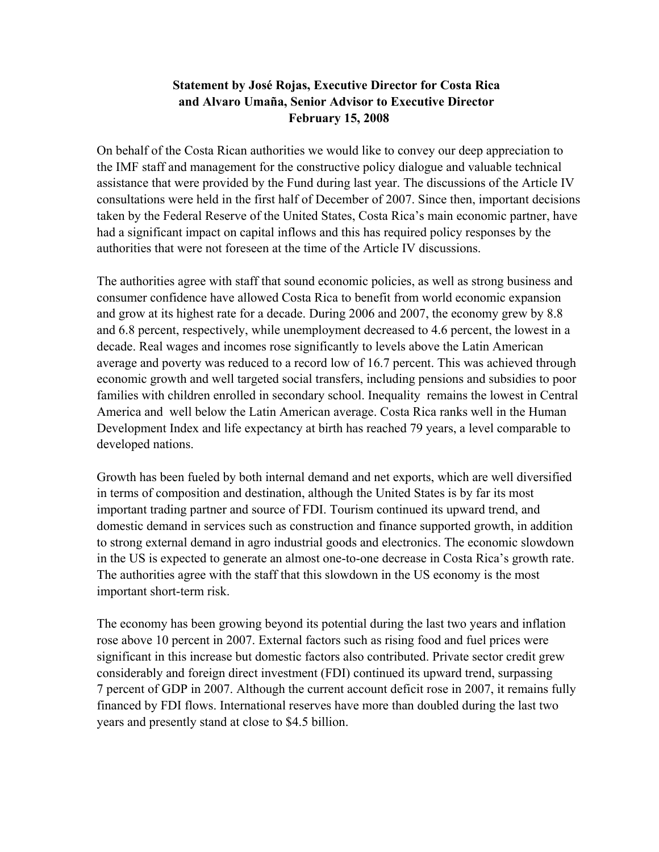# **Statement by José Rojas, Executive Director for Costa Rica and Alvaro Umaña, Senior Advisor to Executive Director February 15, 2008**

On behalf of the Costa Rican authorities we would like to convey our deep appreciation to the IMF staff and management for the constructive policy dialogue and valuable technical assistance that were provided by the Fund during last year. The discussions of the Article IV consultations were held in the first half of December of 2007. Since then, important decisions taken by the Federal Reserve of the United States, Costa Rica's main economic partner, have had a significant impact on capital inflows and this has required policy responses by the authorities that were not foreseen at the time of the Article IV discussions.

The authorities agree with staff that sound economic policies, as well as strong business and consumer confidence have allowed Costa Rica to benefit from world economic expansion and grow at its highest rate for a decade. During 2006 and 2007, the economy grew by 8.8 and 6.8 percent, respectively, while unemployment decreased to 4.6 percent, the lowest in a decade. Real wages and incomes rose significantly to levels above the Latin American average and poverty was reduced to a record low of 16.7 percent. This was achieved through economic growth and well targeted social transfers, including pensions and subsidies to poor families with children enrolled in secondary school. Inequality remains the lowest in Central America and well below the Latin American average. Costa Rica ranks well in the Human Development Index and life expectancy at birth has reached 79 years, a level comparable to developed nations.

Growth has been fueled by both internal demand and net exports, which are well diversified in terms of composition and destination, although the United States is by far its most important trading partner and source of FDI. Tourism continued its upward trend, and domestic demand in services such as construction and finance supported growth, in addition to strong external demand in agro industrial goods and electronics. The economic slowdown in the US is expected to generate an almost one-to-one decrease in Costa Rica's growth rate. The authorities agree with the staff that this slowdown in the US economy is the most important short-term risk.

The economy has been growing beyond its potential during the last two years and inflation rose above 10 percent in 2007. External factors such as rising food and fuel prices were significant in this increase but domestic factors also contributed. Private sector credit grew considerably and foreign direct investment (FDI) continued its upward trend, surpassing 7 percent of GDP in 2007. Although the current account deficit rose in 2007, it remains fully financed by FDI flows. International reserves have more than doubled during the last two years and presently stand at close to \$4.5 billion.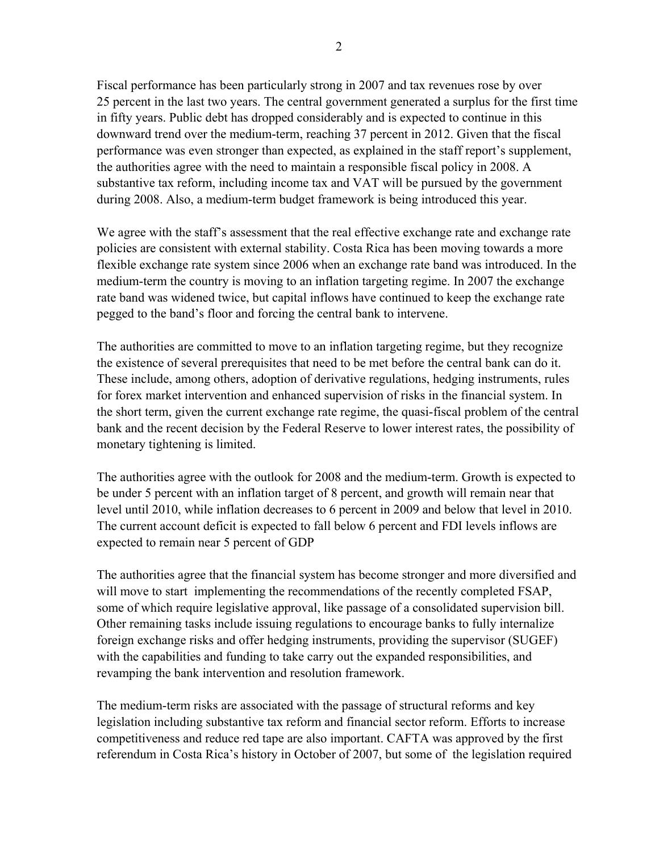Fiscal performance has been particularly strong in 2007 and tax revenues rose by over 25 percent in the last two years. The central government generated a surplus for the first time in fifty years. Public debt has dropped considerably and is expected to continue in this downward trend over the medium-term, reaching 37 percent in 2012. Given that the fiscal performance was even stronger than expected, as explained in the staff report's supplement, the authorities agree with the need to maintain a responsible fiscal policy in 2008. A substantive tax reform, including income tax and VAT will be pursued by the government during 2008. Also, a medium-term budget framework is being introduced this year.

We agree with the staff's assessment that the real effective exchange rate and exchange rate policies are consistent with external stability. Costa Rica has been moving towards a more flexible exchange rate system since 2006 when an exchange rate band was introduced. In the medium-term the country is moving to an inflation targeting regime. In 2007 the exchange rate band was widened twice, but capital inflows have continued to keep the exchange rate pegged to the band's floor and forcing the central bank to intervene.

The authorities are committed to move to an inflation targeting regime, but they recognize the existence of several prerequisites that need to be met before the central bank can do it. These include, among others, adoption of derivative regulations, hedging instruments, rules for forex market intervention and enhanced supervision of risks in the financial system. In the short term, given the current exchange rate regime, the quasi-fiscal problem of the central bank and the recent decision by the Federal Reserve to lower interest rates, the possibility of monetary tightening is limited.

The authorities agree with the outlook for 2008 and the medium-term. Growth is expected to be under 5 percent with an inflation target of 8 percent, and growth will remain near that level until 2010, while inflation decreases to 6 percent in 2009 and below that level in 2010. The current account deficit is expected to fall below 6 percent and FDI levels inflows are expected to remain near 5 percent of GDP

The authorities agree that the financial system has become stronger and more diversified and will move to start implementing the recommendations of the recently completed FSAP, some of which require legislative approval, like passage of a consolidated supervision bill. Other remaining tasks include issuing regulations to encourage banks to fully internalize foreign exchange risks and offer hedging instruments, providing the supervisor (SUGEF) with the capabilities and funding to take carry out the expanded responsibilities, and revamping the bank intervention and resolution framework.

The medium-term risks are associated with the passage of structural reforms and key legislation including substantive tax reform and financial sector reform. Efforts to increase competitiveness and reduce red tape are also important. CAFTA was approved by the first referendum in Costa Rica's history in October of 2007, but some of the legislation required